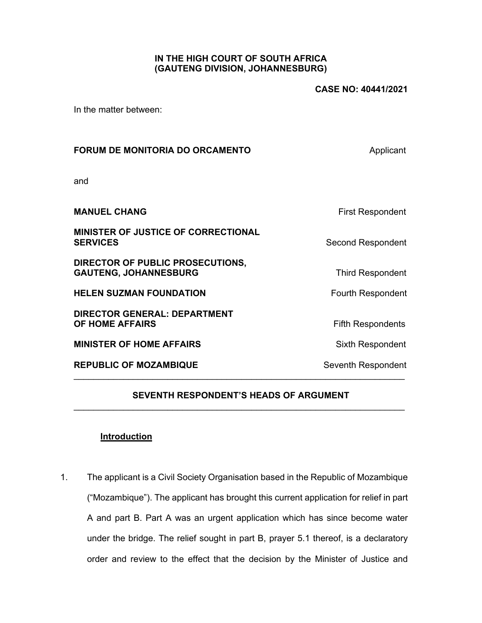# **IN THE HIGH COURT OF SOUTH AFRICA (GAUTENG DIVISION, JOHANNESBURG)**

In the matter between:

| <b>FORUM DE MONITORIA DO ORCAMENTO</b>                           | Applicant                |
|------------------------------------------------------------------|--------------------------|
| and                                                              |                          |
| <b>MANUEL CHANG</b>                                              | First Respondent         |
| <b>MINISTER OF JUSTICE OF CORRECTIONAL</b><br><b>SERVICES</b>    | Second Respondent        |
| DIRECTOR OF PUBLIC PROSECUTIONS,<br><b>GAUTENG, JOHANNESBURG</b> | <b>Third Respondent</b>  |
| <b>HELEN SUZMAN FOUNDATION</b>                                   | <b>Fourth Respondent</b> |
| <b>DIRECTOR GENERAL: DEPARTMENT</b><br>OF HOME AFFAIRS           | <b>Fifth Respondents</b> |
| <b>MINISTER OF HOME AFFAIRS</b>                                  | Sixth Respondent         |
| <b>REPUBLIC OF MOZAMBIQUE</b>                                    | Seventh Respondent       |

# **SEVENTH RESPONDENT'S HEADS OF ARGUMENT**   $\mathcal{L}_\text{max} = \mathcal{L}_\text{max} = \mathcal{L}_\text{max} = \mathcal{L}_\text{max} = \mathcal{L}_\text{max} = \mathcal{L}_\text{max} = \mathcal{L}_\text{max} = \mathcal{L}_\text{max} = \mathcal{L}_\text{max} = \mathcal{L}_\text{max} = \mathcal{L}_\text{max} = \mathcal{L}_\text{max} = \mathcal{L}_\text{max} = \mathcal{L}_\text{max} = \mathcal{L}_\text{max} = \mathcal{L}_\text{max} = \mathcal{L}_\text{max} = \mathcal{L}_\text{max} = \mathcal{$

## **Introduction**

1. The applicant is a Civil Society Organisation based in the Republic of Mozambique ("Mozambique"). The applicant has brought this current application for relief in part A and part B. Part A was an urgent application which has since become water under the bridge. The relief sought in part B, prayer 5.1 thereof, is a declaratory order and review to the effect that the decision by the Minister of Justice and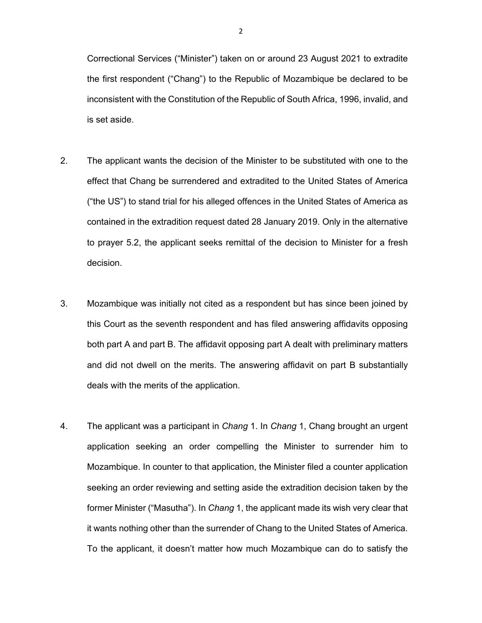Correctional Services ("Minister") taken on or around 23 August 2021 to extradite the first respondent ("Chang") to the Republic of Mozambique be declared to be inconsistent with the Constitution of the Republic of South Africa, 1996, invalid, and is set aside.

- 2. The applicant wants the decision of the Minister to be substituted with one to the effect that Chang be surrendered and extradited to the United States of America ("the US") to stand trial for his alleged offences in the United States of America as contained in the extradition request dated 28 January 2019. Only in the alternative to prayer 5.2, the applicant seeks remittal of the decision to Minister for a fresh decision.
- 3. Mozambique was initially not cited as a respondent but has since been joined by this Court as the seventh respondent and has filed answering affidavits opposing both part A and part B. The affidavit opposing part A dealt with preliminary matters and did not dwell on the merits. The answering affidavit on part B substantially deals with the merits of the application.
- 4. The applicant was a participant in *Chang* 1. In *Chang* 1, Chang brought an urgent application seeking an order compelling the Minister to surrender him to Mozambique. In counter to that application, the Minister filed a counter application seeking an order reviewing and setting aside the extradition decision taken by the former Minister ("Masutha"). In *Chang* 1, the applicant made its wish very clear that it wants nothing other than the surrender of Chang to the United States of America. To the applicant, it doesn't matter how much Mozambique can do to satisfy the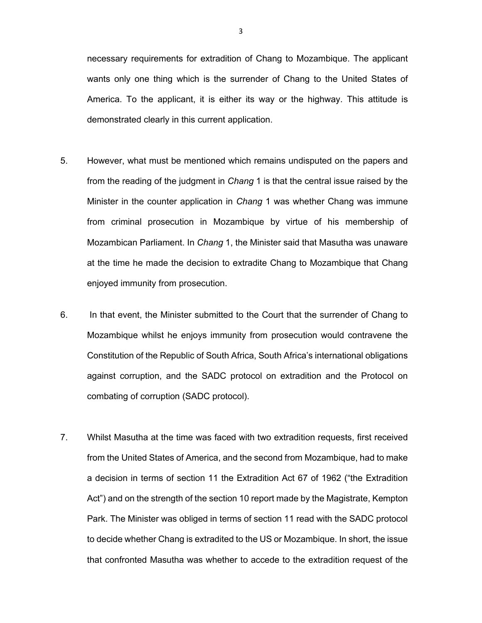necessary requirements for extradition of Chang to Mozambique. The applicant wants only one thing which is the surrender of Chang to the United States of America. To the applicant, it is either its way or the highway. This attitude is demonstrated clearly in this current application.

- 5. However, what must be mentioned which remains undisputed on the papers and from the reading of the judgment in *Chang* 1 is that the central issue raised by the Minister in the counter application in *Chang* 1 was whether Chang was immune from criminal prosecution in Mozambique by virtue of his membership of Mozambican Parliament. In *Chang* 1, the Minister said that Masutha was unaware at the time he made the decision to extradite Chang to Mozambique that Chang enjoyed immunity from prosecution.
- 6. In that event, the Minister submitted to the Court that the surrender of Chang to Mozambique whilst he enjoys immunity from prosecution would contravene the Constitution of the Republic of South Africa, South Africa's international obligations against corruption, and the SADC protocol on extradition and the Protocol on combating of corruption (SADC protocol).
- 7. Whilst Masutha at the time was faced with two extradition requests, first received from the United States of America, and the second from Mozambique, had to make a decision in terms of section 11 the Extradition Act 67 of 1962 ("the Extradition Act") and on the strength of the section 10 report made by the Magistrate, Kempton Park. The Minister was obliged in terms of section 11 read with the SADC protocol to decide whether Chang is extradited to the US or Mozambique. In short, the issue that confronted Masutha was whether to accede to the extradition request of the

3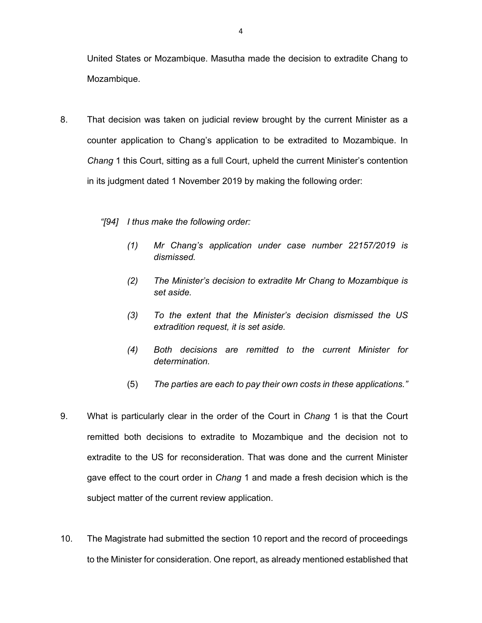United States or Mozambique. Masutha made the decision to extradite Chang to Mozambique.

- 8. That decision was taken on judicial review brought by the current Minister as a counter application to Chang's application to be extradited to Mozambique. In *Chang* 1 this Court, sitting as a full Court, upheld the current Minister's contention in its judgment dated 1 November 2019 by making the following order:
	- *"[94] I thus make the following order:* 
		- *(1) Mr Chang's application under case number 22157/2019 is dismissed.*
		- *(2) The Minister's decision to extradite Mr Chang to Mozambique is set aside.*
		- *(3) To the extent that the Minister's decision dismissed the US extradition request, it is set aside.*
		- *(4) Both decisions are remitted to the current Minister for determination.*
		- (5) *The parties are each to pay their own costs in these applications."*
- 9. What is particularly clear in the order of the Court in *Chang* 1 is that the Court remitted both decisions to extradite to Mozambique and the decision not to extradite to the US for reconsideration. That was done and the current Minister gave effect to the court order in *Chang* 1 and made a fresh decision which is the subject matter of the current review application.
- 10. The Magistrate had submitted the section 10 report and the record of proceedings to the Minister for consideration. One report, as already mentioned established that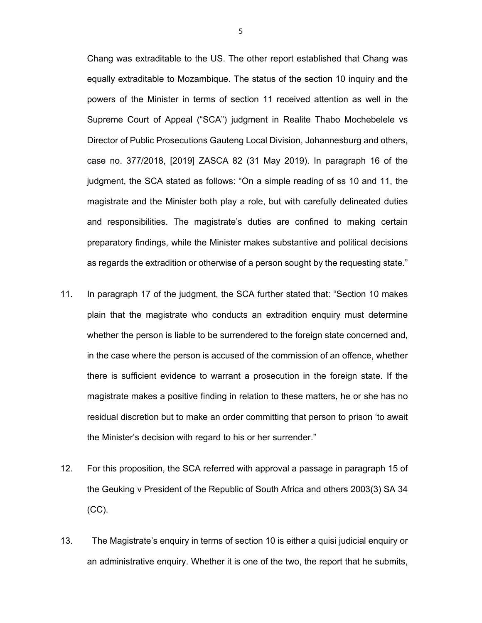Chang was extraditable to the US. The other report established that Chang was equally extraditable to Mozambique. The status of the section 10 inquiry and the powers of the Minister in terms of section 11 received attention as well in the Supreme Court of Appeal ("SCA") judgment in Realite Thabo Mochebelele vs Director of Public Prosecutions Gauteng Local Division, Johannesburg and others, case no. 377/2018, [2019] ZASCA 82 (31 May 2019). In paragraph 16 of the judgment, the SCA stated as follows: "On a simple reading of ss 10 and 11, the magistrate and the Minister both play a role, but with carefully delineated duties and responsibilities. The magistrate's duties are confined to making certain preparatory findings, while the Minister makes substantive and political decisions as regards the extradition or otherwise of a person sought by the requesting state."

- 11. In paragraph 17 of the judgment, the SCA further stated that: "Section 10 makes plain that the magistrate who conducts an extradition enquiry must determine whether the person is liable to be surrendered to the foreign state concerned and, in the case where the person is accused of the commission of an offence, whether there is sufficient evidence to warrant a prosecution in the foreign state. If the magistrate makes a positive finding in relation to these matters, he or she has no residual discretion but to make an order committing that person to prison 'to await the Minister's decision with regard to his or her surrender."
- 12. For this proposition, the SCA referred with approval a passage in paragraph 15 of the Geuking v President of the Republic of South Africa and others 2003(3) SA 34 (CC).
- 13. The Magistrate's enquiry in terms of section 10 is either a quisi judicial enquiry or an administrative enquiry. Whether it is one of the two, the report that he submits,

5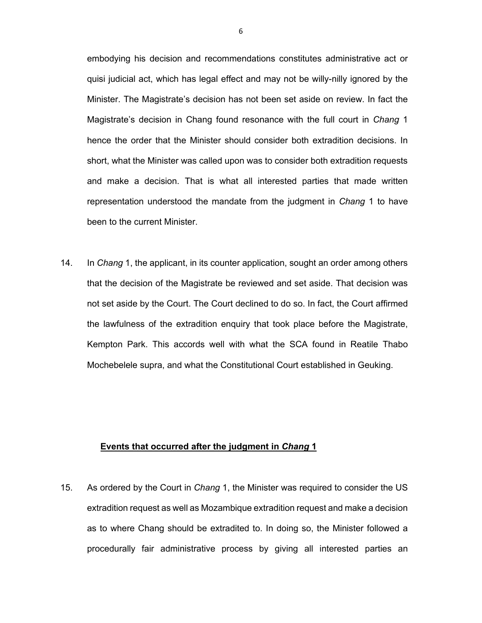embodying his decision and recommendations constitutes administrative act or quisi judicial act, which has legal effect and may not be willy-nilly ignored by the Minister. The Magistrate's decision has not been set aside on review. In fact the Magistrate's decision in Chang found resonance with the full court in *Chang* 1 hence the order that the Minister should consider both extradition decisions. In short, what the Minister was called upon was to consider both extradition requests and make a decision. That is what all interested parties that made written representation understood the mandate from the judgment in *Chang* 1 to have been to the current Minister.

14. In *Chang* 1, the applicant, in its counter application, sought an order among others that the decision of the Magistrate be reviewed and set aside. That decision was not set aside by the Court. The Court declined to do so. In fact, the Court affirmed the lawfulness of the extradition enquiry that took place before the Magistrate, Kempton Park. This accords well with what the SCA found in Reatile Thabo Mochebelele supra, and what the Constitutional Court established in Geuking.

#### **Events that occurred after the judgment in** *Chang* **1**

15. As ordered by the Court in *Chang* 1, the Minister was required to consider the US extradition request as well as Mozambique extradition request and make a decision as to where Chang should be extradited to. In doing so, the Minister followed a procedurally fair administrative process by giving all interested parties an

6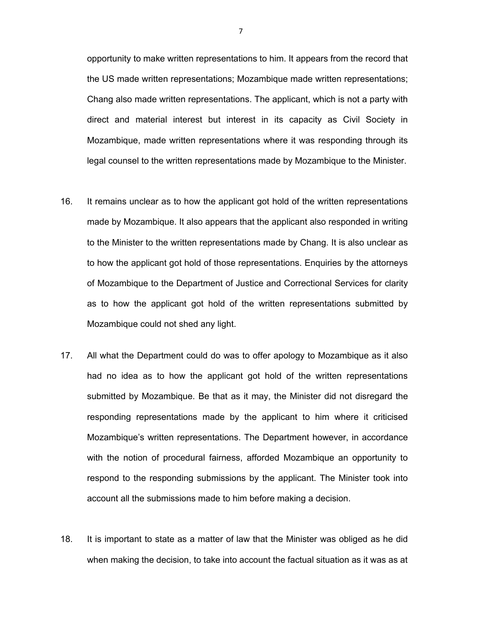opportunity to make written representations to him. It appears from the record that the US made written representations; Mozambique made written representations; Chang also made written representations. The applicant, which is not a party with direct and material interest but interest in its capacity as Civil Society in Mozambique, made written representations where it was responding through its legal counsel to the written representations made by Mozambique to the Minister.

- 16. It remains unclear as to how the applicant got hold of the written representations made by Mozambique. It also appears that the applicant also responded in writing to the Minister to the written representations made by Chang. It is also unclear as to how the applicant got hold of those representations. Enquiries by the attorneys of Mozambique to the Department of Justice and Correctional Services for clarity as to how the applicant got hold of the written representations submitted by Mozambique could not shed any light.
- 17. All what the Department could do was to offer apology to Mozambique as it also had no idea as to how the applicant got hold of the written representations submitted by Mozambique. Be that as it may, the Minister did not disregard the responding representations made by the applicant to him where it criticised Mozambique's written representations. The Department however, in accordance with the notion of procedural fairness, afforded Mozambique an opportunity to respond to the responding submissions by the applicant. The Minister took into account all the submissions made to him before making a decision.
- 18. It is important to state as a matter of law that the Minister was obliged as he did when making the decision, to take into account the factual situation as it was as at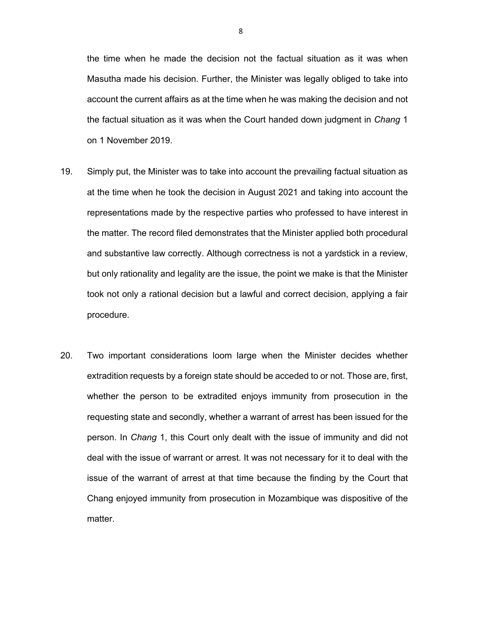the time when he made the decision not the factual situation as it was when Masutha made his decision. Further, the Minister was legally obliged to take into account the current affairs as at the time when he was making the decision and not the factual situation as it was when the Court handed down judgment in *Chang* 1 on 1 November 2019.

- 19. Simply put, the Minister was to take into account the prevailing factual situation as at the time when he took the decision in August 2021 and taking into account the representations made by the respective parties who professed to have interest in the matter. The record filed demonstrates that the Minister applied both procedural and substantive law correctly. Although correctness is not a yardstick in a review, but only rationality and legality are the issue, the point we make is that the Minister took not only a rational decision but a lawful and correct decision, applying a fair procedure.
- 20. Two important considerations loom large when the Minister decides whether extradition requests by a foreign state should be acceded to or not. Those are, first, whether the person to be extradited enjoys immunity from prosecution in the requesting state and secondly, whether a warrant of arrest has been issued for the person. In *Chang* 1, this Court only dealt with the issue of immunity and did not deal with the issue of warrant or arrest. It was not necessary for it to deal with the issue of the warrant of arrest at that time because the finding by the Court that Chang enjoyed immunity from prosecution in Mozambique was dispositive of the matter.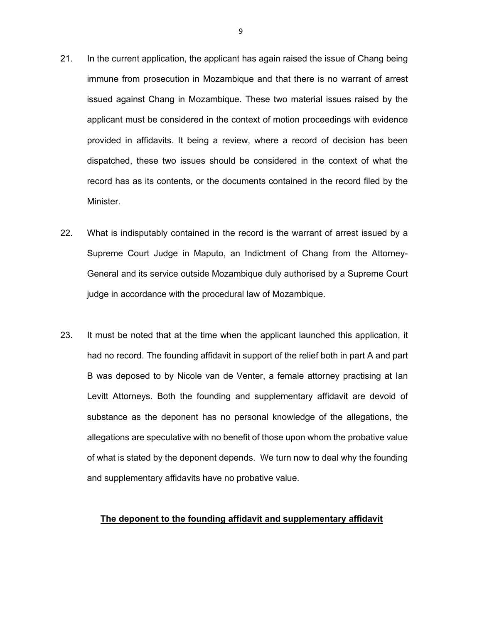- 21. In the current application, the applicant has again raised the issue of Chang being immune from prosecution in Mozambique and that there is no warrant of arrest issued against Chang in Mozambique. These two material issues raised by the applicant must be considered in the context of motion proceedings with evidence provided in affidavits. It being a review, where a record of decision has been dispatched, these two issues should be considered in the context of what the record has as its contents, or the documents contained in the record filed by the Minister.
- 22. What is indisputably contained in the record is the warrant of arrest issued by a Supreme Court Judge in Maputo, an Indictment of Chang from the Attorney-General and its service outside Mozambique duly authorised by a Supreme Court judge in accordance with the procedural law of Mozambique.
- 23. It must be noted that at the time when the applicant launched this application, it had no record. The founding affidavit in support of the relief both in part A and part B was deposed to by Nicole van de Venter, a female attorney practising at Ian Levitt Attorneys. Both the founding and supplementary affidavit are devoid of substance as the deponent has no personal knowledge of the allegations, the allegations are speculative with no benefit of those upon whom the probative value of what is stated by the deponent depends. We turn now to deal why the founding and supplementary affidavits have no probative value.

## **The deponent to the founding affidavit and supplementary affidavit**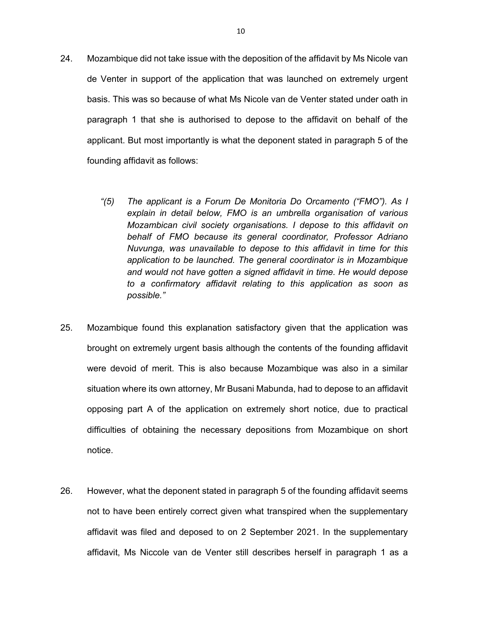- 24. Mozambique did not take issue with the deposition of the affidavit by Ms Nicole van de Venter in support of the application that was launched on extremely urgent basis. This was so because of what Ms Nicole van de Venter stated under oath in paragraph 1 that she is authorised to depose to the affidavit on behalf of the applicant. But most importantly is what the deponent stated in paragraph 5 of the founding affidavit as follows:
	- *"(5) The applicant is a Forum De Monitoria Do Orcamento ("FMO"). As I explain in detail below, FMO is an umbrella organisation of various Mozambican civil society organisations. I depose to this affidavit on behalf of FMO because its general coordinator, Professor Adriano Nuvunga, was unavailable to depose to this affidavit in time for this application to be launched. The general coordinator is in Mozambique and would not have gotten a signed affidavit in time. He would depose to a confirmatory affidavit relating to this application as soon as possible."*
- 25. Mozambique found this explanation satisfactory given that the application was brought on extremely urgent basis although the contents of the founding affidavit were devoid of merit. This is also because Mozambique was also in a similar situation where its own attorney, Mr Busani Mabunda, had to depose to an affidavit opposing part A of the application on extremely short notice, due to practical difficulties of obtaining the necessary depositions from Mozambique on short notice.
- 26. However, what the deponent stated in paragraph 5 of the founding affidavit seems not to have been entirely correct given what transpired when the supplementary affidavit was filed and deposed to on 2 September 2021. In the supplementary affidavit, Ms Niccole van de Venter still describes herself in paragraph 1 as a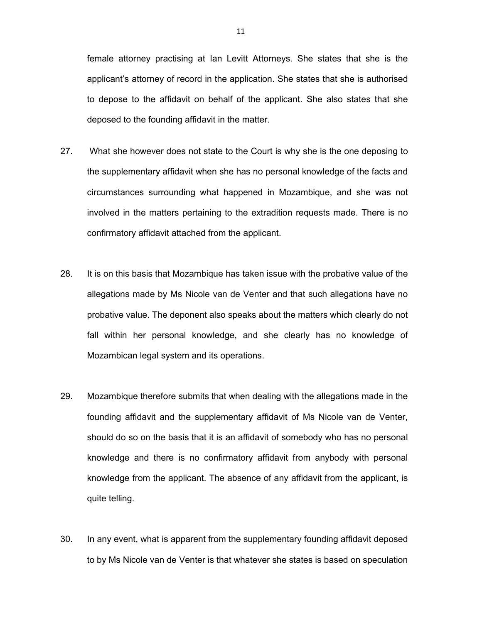female attorney practising at Ian Levitt Attorneys. She states that she is the applicant's attorney of record in the application. She states that she is authorised to depose to the affidavit on behalf of the applicant. She also states that she deposed to the founding affidavit in the matter.

- 27. What she however does not state to the Court is why she is the one deposing to the supplementary affidavit when she has no personal knowledge of the facts and circumstances surrounding what happened in Mozambique, and she was not involved in the matters pertaining to the extradition requests made. There is no confirmatory affidavit attached from the applicant.
- 28. It is on this basis that Mozambique has taken issue with the probative value of the allegations made by Ms Nicole van de Venter and that such allegations have no probative value. The deponent also speaks about the matters which clearly do not fall within her personal knowledge, and she clearly has no knowledge of Mozambican legal system and its operations.
- 29. Mozambique therefore submits that when dealing with the allegations made in the founding affidavit and the supplementary affidavit of Ms Nicole van de Venter, should do so on the basis that it is an affidavit of somebody who has no personal knowledge and there is no confirmatory affidavit from anybody with personal knowledge from the applicant. The absence of any affidavit from the applicant, is quite telling.
- 30. In any event, what is apparent from the supplementary founding affidavit deposed to by Ms Nicole van de Venter is that whatever she states is based on speculation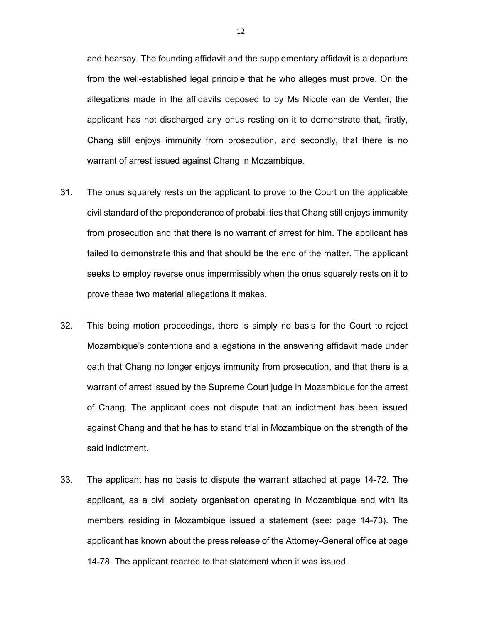and hearsay. The founding affidavit and the supplementary affidavit is a departure from the well-established legal principle that he who alleges must prove. On the allegations made in the affidavits deposed to by Ms Nicole van de Venter, the applicant has not discharged any onus resting on it to demonstrate that, firstly, Chang still enjoys immunity from prosecution, and secondly, that there is no warrant of arrest issued against Chang in Mozambique.

- 31. The onus squarely rests on the applicant to prove to the Court on the applicable civil standard of the preponderance of probabilities that Chang still enjoys immunity from prosecution and that there is no warrant of arrest for him. The applicant has failed to demonstrate this and that should be the end of the matter. The applicant seeks to employ reverse onus impermissibly when the onus squarely rests on it to prove these two material allegations it makes.
- 32. This being motion proceedings, there is simply no basis for the Court to reject Mozambique's contentions and allegations in the answering affidavit made under oath that Chang no longer enjoys immunity from prosecution, and that there is a warrant of arrest issued by the Supreme Court judge in Mozambique for the arrest of Chang. The applicant does not dispute that an indictment has been issued against Chang and that he has to stand trial in Mozambique on the strength of the said indictment.
- 33. The applicant has no basis to dispute the warrant attached at page 14-72. The applicant, as a civil society organisation operating in Mozambique and with its members residing in Mozambique issued a statement (see: page 14-73). The applicant has known about the press release of the Attorney-General office at page 14-78. The applicant reacted to that statement when it was issued.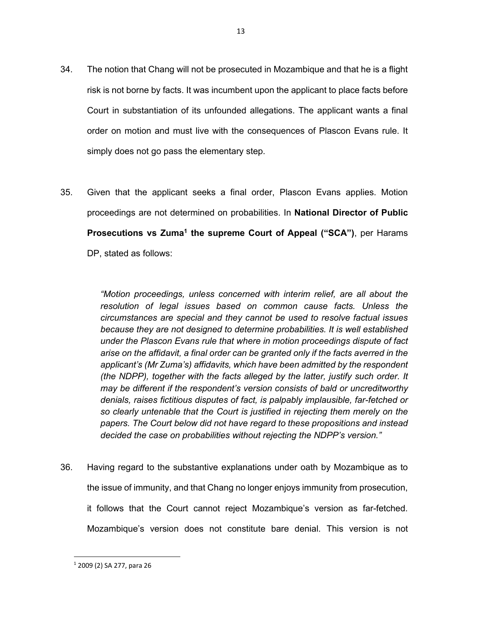- 34. The notion that Chang will not be prosecuted in Mozambique and that he is a flight risk is not borne by facts. It was incumbent upon the applicant to place facts before Court in substantiation of its unfounded allegations. The applicant wants a final order on motion and must live with the consequences of Plascon Evans rule. It simply does not go pass the elementary step.
- 35. Given that the applicant seeks a final order, Plascon Evans applies. Motion proceedings are not determined on probabilities. In **National Director of Public Prosecutions vs Zuma<sup>1</sup> the supreme Court of Appeal ("SCA")**, per Harams DP, stated as follows:

*"Motion proceedings, unless concerned with interim relief, are all about the resolution of legal issues based on common cause facts. Unless the circumstances are special and they cannot be used to resolve factual issues because they are not designed to determine probabilities. It is well established under the Plascon Evans rule that where in motion proceedings dispute of fact arise on the affidavit, a final order can be granted only if the facts averred in the applicant's (Mr Zuma's) affidavits, which have been admitted by the respondent (the NDPP), together with the facts alleged by the latter, justify such order. It may be different if the respondent's version consists of bald or uncreditworthy denials, raises fictitious disputes of fact, is palpably implausible, far-fetched or so clearly untenable that the Court is justified in rejecting them merely on the papers. The Court below did not have regard to these propositions and instead decided the case on probabilities without rejecting the NDPP's version."* 

36. Having regard to the substantive explanations under oath by Mozambique as to the issue of immunity, and that Chang no longer enjoys immunity from prosecution, it follows that the Court cannot reject Mozambique's version as far-fetched. Mozambique's version does not constitute bare denial. This version is not

<sup>1</sup> 2009 (2) SA 277, para 26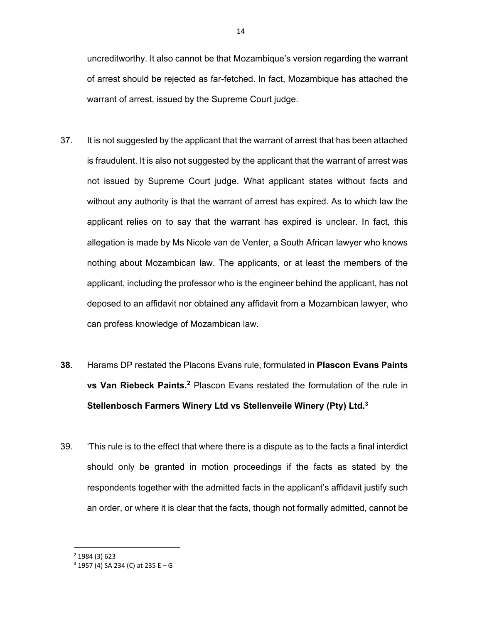uncreditworthy. It also cannot be that Mozambique's version regarding the warrant of arrest should be rejected as far-fetched. In fact, Mozambique has attached the warrant of arrest, issued by the Supreme Court judge.

- 37. It is not suggested by the applicant that the warrant of arrest that has been attached is fraudulent. It is also not suggested by the applicant that the warrant of arrest was not issued by Supreme Court judge. What applicant states without facts and without any authority is that the warrant of arrest has expired. As to which law the applicant relies on to say that the warrant has expired is unclear. In fact, this allegation is made by Ms Nicole van de Venter, a South African lawyer who knows nothing about Mozambican law. The applicants, or at least the members of the applicant, including the professor who is the engineer behind the applicant, has not deposed to an affidavit nor obtained any affidavit from a Mozambican lawyer, who can profess knowledge of Mozambican law.
- **38.** Harams DP restated the Placons Evans rule, formulated in **Plascon Evans Paints vs Van Riebeck Paints.2** Plascon Evans restated the formulation of the rule in **Stellenbosch Farmers Winery Ltd vs Stellenveile Winery (Pty) Ltd.3**
- 39. 'This rule is to the effect that where there is a dispute as to the facts a final interdict should only be granted in motion proceedings if the facts as stated by the respondents together with the admitted facts in the applicant's affidavit justify such an order, or where it is clear that the facts, though not formally admitted, cannot be

<sup>2</sup> 1984 (3) 623

 $3$  1957 (4) SA 234 (C) at 235 E – G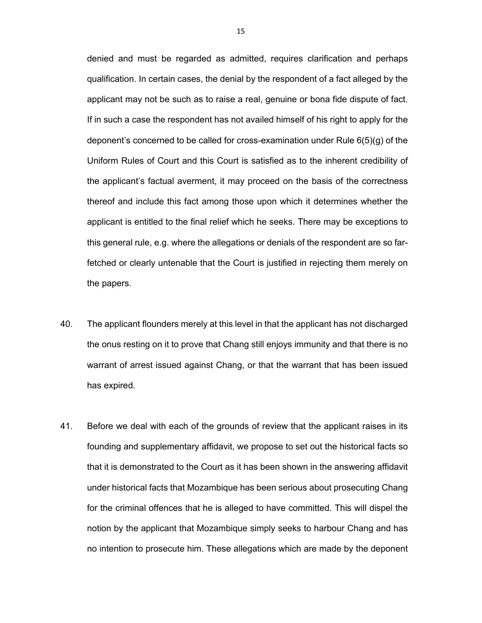denied and must be regarded as admitted, requires clarification and perhaps qualification. In certain cases, the denial by the respondent of a fact alleged by the applicant may not be such as to raise a real, genuine or bona fide dispute of fact. If in such a case the respondent has not availed himself of his right to apply for the deponent's concerned to be called for cross-examination under Rule 6(5)(g) of the Uniform Rules of Court and this Court is satisfied as to the inherent credibility of the applicant's factual averment, it may proceed on the basis of the correctness thereof and include this fact among those upon which it determines whether the applicant is entitled to the final relief which he seeks. There may be exceptions to this general rule, e.g. where the allegations or denials of the respondent are so farfetched or clearly untenable that the Court is justified in rejecting them merely on the papers.

- 40. The applicant flounders merely at this level in that the applicant has not discharged the onus resting on it to prove that Chang still enjoys immunity and that there is no warrant of arrest issued against Chang, or that the warrant that has been issued has expired.
- 41. Before we deal with each of the grounds of review that the applicant raises in its founding and supplementary affidavit, we propose to set out the historical facts so that it is demonstrated to the Court as it has been shown in the answering affidavit under historical facts that Mozambique has been serious about prosecuting Chang for the criminal offences that he is alleged to have committed. This will dispel the notion by the applicant that Mozambique simply seeks to harbour Chang and has no intention to prosecute him. These allegations which are made by the deponent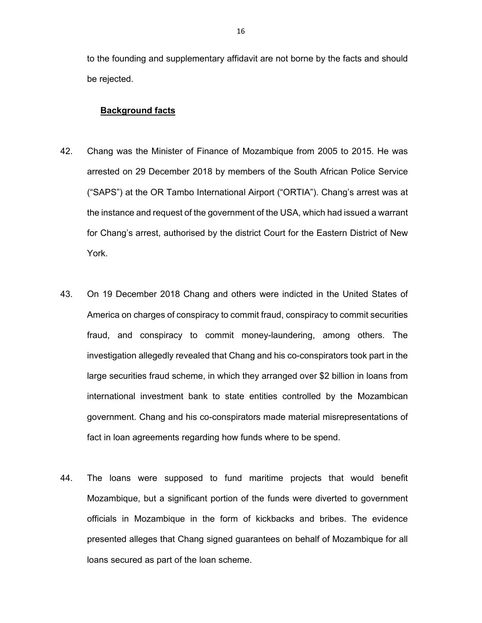to the founding and supplementary affidavit are not borne by the facts and should be rejected.

## **Background facts**

- 42. Chang was the Minister of Finance of Mozambique from 2005 to 2015. He was arrested on 29 December 2018 by members of the South African Police Service ("SAPS") at the OR Tambo International Airport ("ORTIA"). Chang's arrest was at the instance and request of the government of the USA, which had issued a warrant for Chang's arrest, authorised by the district Court for the Eastern District of New York.
- 43. On 19 December 2018 Chang and others were indicted in the United States of America on charges of conspiracy to commit fraud, conspiracy to commit securities fraud, and conspiracy to commit money-laundering, among others. The investigation allegedly revealed that Chang and his co-conspirators took part in the large securities fraud scheme, in which they arranged over \$2 billion in loans from international investment bank to state entities controlled by the Mozambican government. Chang and his co-conspirators made material misrepresentations of fact in loan agreements regarding how funds where to be spend.
- 44. The loans were supposed to fund maritime projects that would benefit Mozambique, but a significant portion of the funds were diverted to government officials in Mozambique in the form of kickbacks and bribes. The evidence presented alleges that Chang signed guarantees on behalf of Mozambique for all loans secured as part of the loan scheme.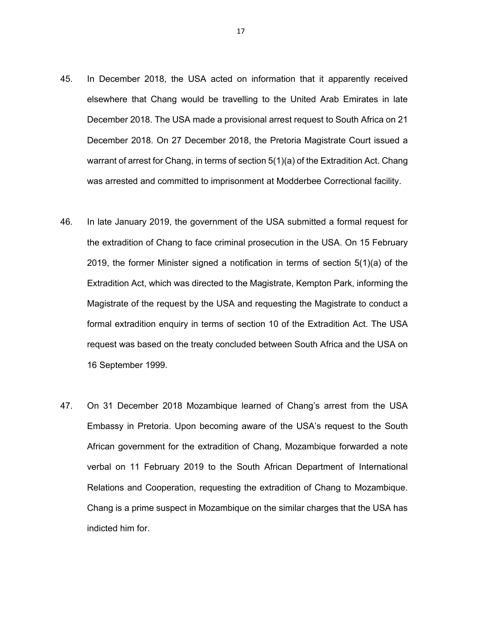- 45. In December 2018, the USA acted on information that it apparently received elsewhere that Chang would be travelling to the United Arab Emirates in late December 2018. The USA made a provisional arrest request to South Africa on 21 December 2018. On 27 December 2018, the Pretoria Magistrate Court issued a warrant of arrest for Chang, in terms of section 5(1)(a) of the Extradition Act. Chang was arrested and committed to imprisonment at Modderbee Correctional facility.
- 46. In late January 2019, the government of the USA submitted a formal request for the extradition of Chang to face criminal prosecution in the USA. On 15 February 2019, the former Minister signed a notification in terms of section 5(1)(a) of the Extradition Act, which was directed to the Magistrate, Kempton Park, informing the Magistrate of the request by the USA and requesting the Magistrate to conduct a formal extradition enquiry in terms of section 10 of the Extradition Act. The USA request was based on the treaty concluded between South Africa and the USA on 16 September 1999.
- 47. On 31 December 2018 Mozambique learned of Chang's arrest from the USA Embassy in Pretoria. Upon becoming aware of the USA's request to the South African government for the extradition of Chang, Mozambique forwarded a note verbal on 11 February 2019 to the South African Department of International Relations and Cooperation, requesting the extradition of Chang to Mozambique. Chang is a prime suspect in Mozambique on the similar charges that the USA has indicted him for.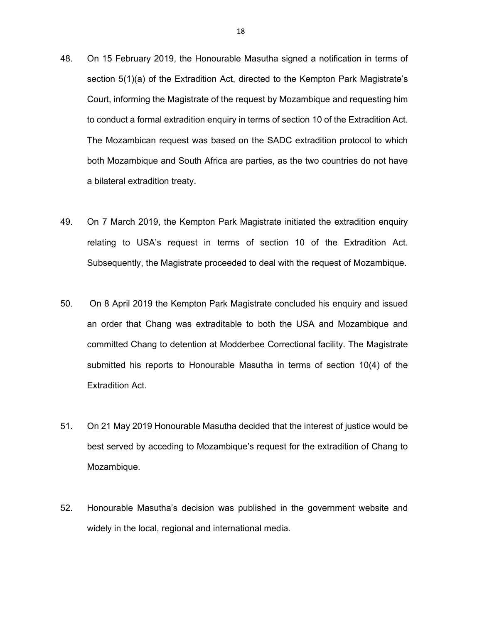- 48. On 15 February 2019, the Honourable Masutha signed a notification in terms of section 5(1)(a) of the Extradition Act, directed to the Kempton Park Magistrate's Court, informing the Magistrate of the request by Mozambique and requesting him to conduct a formal extradition enquiry in terms of section 10 of the Extradition Act. The Mozambican request was based on the SADC extradition protocol to which both Mozambique and South Africa are parties, as the two countries do not have a bilateral extradition treaty.
- 49. On 7 March 2019, the Kempton Park Magistrate initiated the extradition enquiry relating to USA's request in terms of section 10 of the Extradition Act. Subsequently, the Magistrate proceeded to deal with the request of Mozambique.
- 50. On 8 April 2019 the Kempton Park Magistrate concluded his enquiry and issued an order that Chang was extraditable to both the USA and Mozambique and committed Chang to detention at Modderbee Correctional facility. The Magistrate submitted his reports to Honourable Masutha in terms of section 10(4) of the Extradition Act.
- 51. On 21 May 2019 Honourable Masutha decided that the interest of justice would be best served by acceding to Mozambique's request for the extradition of Chang to Mozambique.
- 52. Honourable Masutha's decision was published in the government website and widely in the local, regional and international media.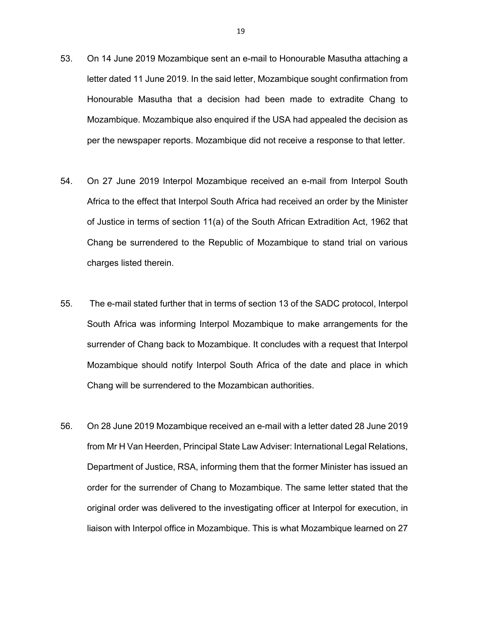- 53. On 14 June 2019 Mozambique sent an e-mail to Honourable Masutha attaching a letter dated 11 June 2019. In the said letter, Mozambique sought confirmation from Honourable Masutha that a decision had been made to extradite Chang to Mozambique. Mozambique also enquired if the USA had appealed the decision as per the newspaper reports. Mozambique did not receive a response to that letter.
- 54. On 27 June 2019 Interpol Mozambique received an e-mail from Interpol South Africa to the effect that Interpol South Africa had received an order by the Minister of Justice in terms of section 11(a) of the South African Extradition Act, 1962 that Chang be surrendered to the Republic of Mozambique to stand trial on various charges listed therein.
- 55. The e-mail stated further that in terms of section 13 of the SADC protocol, Interpol South Africa was informing Interpol Mozambique to make arrangements for the surrender of Chang back to Mozambique. It concludes with a request that Interpol Mozambique should notify Interpol South Africa of the date and place in which Chang will be surrendered to the Mozambican authorities.
- 56. On 28 June 2019 Mozambique received an e-mail with a letter dated 28 June 2019 from Mr H Van Heerden, Principal State Law Adviser: International Legal Relations, Department of Justice, RSA, informing them that the former Minister has issued an order for the surrender of Chang to Mozambique. The same letter stated that the original order was delivered to the investigating officer at Interpol for execution, in liaison with Interpol office in Mozambique. This is what Mozambique learned on 27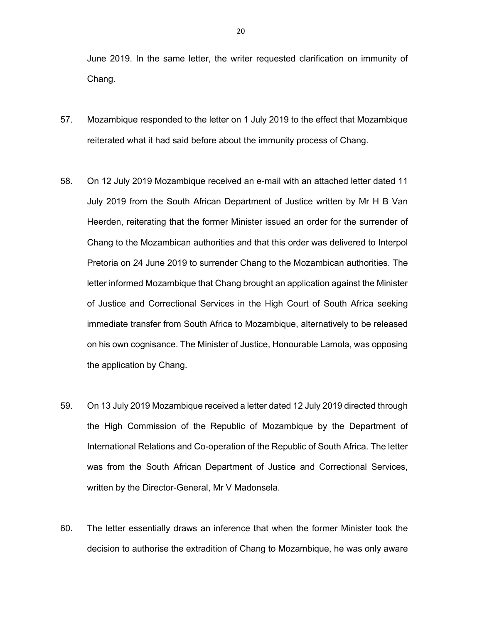June 2019. In the same letter, the writer requested clarification on immunity of Chang.

- 57. Mozambique responded to the letter on 1 July 2019 to the effect that Mozambique reiterated what it had said before about the immunity process of Chang.
- 58. On 12 July 2019 Mozambique received an e-mail with an attached letter dated 11 July 2019 from the South African Department of Justice written by Mr H B Van Heerden, reiterating that the former Minister issued an order for the surrender of Chang to the Mozambican authorities and that this order was delivered to Interpol Pretoria on 24 June 2019 to surrender Chang to the Mozambican authorities. The letter informed Mozambique that Chang brought an application against the Minister of Justice and Correctional Services in the High Court of South Africa seeking immediate transfer from South Africa to Mozambique, alternatively to be released on his own cognisance. The Minister of Justice, Honourable Lamola, was opposing the application by Chang.
- 59. On 13 July 2019 Mozambique received a letter dated 12 July 2019 directed through the High Commission of the Republic of Mozambique by the Department of International Relations and Co-operation of the Republic of South Africa. The letter was from the South African Department of Justice and Correctional Services, written by the Director-General, Mr V Madonsela.
- 60. The letter essentially draws an inference that when the former Minister took the decision to authorise the extradition of Chang to Mozambique, he was only aware

20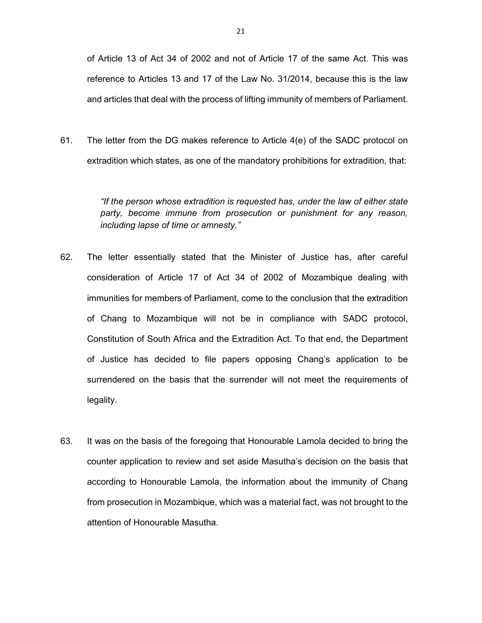of Article 13 of Act 34 of 2002 and not of Article 17 of the same Act. This was reference to Articles 13 and 17 of the Law No. 31/2014, because this is the law and articles that deal with the process of lifting immunity of members of Parliament.

61. The letter from the DG makes reference to Article 4(e) of the SADC protocol on extradition which states, as one of the mandatory prohibitions for extradition, that:

> *"If the person whose extradition is requested has, under the law of either state party, become immune from prosecution or punishment for any reason, including lapse of time or amnesty."*

- 62. The letter essentially stated that the Minister of Justice has, after careful consideration of Article 17 of Act 34 of 2002 of Mozambique dealing with immunities for members of Parliament, come to the conclusion that the extradition of Chang to Mozambique will not be in compliance with SADC protocol, Constitution of South Africa and the Extradition Act. To that end, the Department of Justice has decided to file papers opposing Chang's application to be surrendered on the basis that the surrender will not meet the requirements of legality.
- 63. It was on the basis of the foregoing that Honourable Lamola decided to bring the counter application to review and set aside Masutha's decision on the basis that according to Honourable Lamola, the information about the immunity of Chang from prosecution in Mozambique, which was a material fact, was not brought to the attention of Honourable Masutha.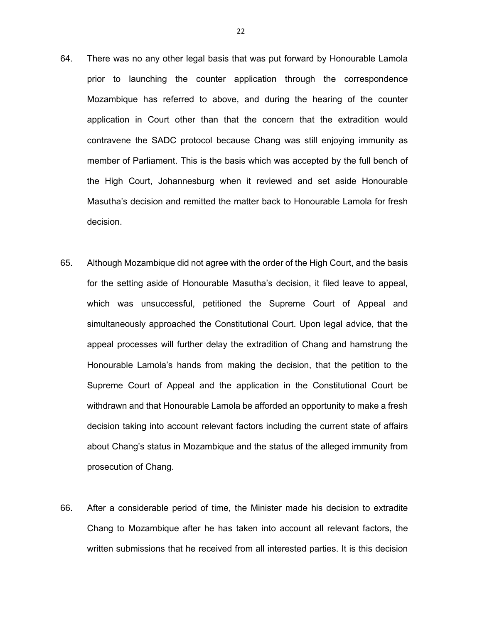- 64. There was no any other legal basis that was put forward by Honourable Lamola prior to launching the counter application through the correspondence Mozambique has referred to above, and during the hearing of the counter application in Court other than that the concern that the extradition would contravene the SADC protocol because Chang was still enjoying immunity as member of Parliament. This is the basis which was accepted by the full bench of the High Court, Johannesburg when it reviewed and set aside Honourable Masutha's decision and remitted the matter back to Honourable Lamola for fresh decision.
- 65. Although Mozambique did not agree with the order of the High Court, and the basis for the setting aside of Honourable Masutha's decision, it filed leave to appeal, which was unsuccessful, petitioned the Supreme Court of Appeal and simultaneously approached the Constitutional Court. Upon legal advice, that the appeal processes will further delay the extradition of Chang and hamstrung the Honourable Lamola's hands from making the decision, that the petition to the Supreme Court of Appeal and the application in the Constitutional Court be withdrawn and that Honourable Lamola be afforded an opportunity to make a fresh decision taking into account relevant factors including the current state of affairs about Chang's status in Mozambique and the status of the alleged immunity from prosecution of Chang.
- 66. After a considerable period of time, the Minister made his decision to extradite Chang to Mozambique after he has taken into account all relevant factors, the written submissions that he received from all interested parties. It is this decision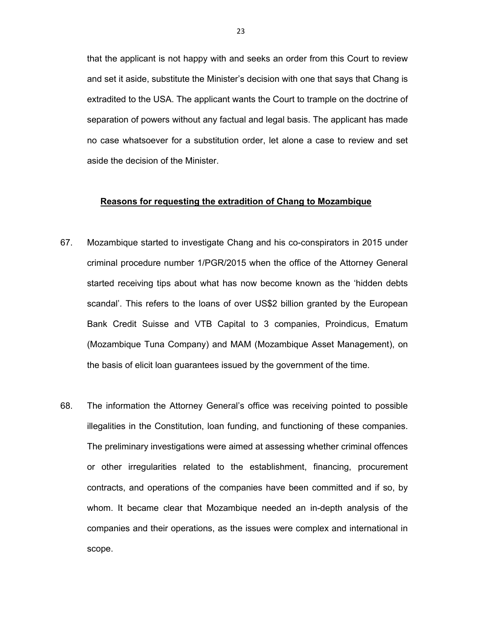that the applicant is not happy with and seeks an order from this Court to review and set it aside, substitute the Minister's decision with one that says that Chang is extradited to the USA. The applicant wants the Court to trample on the doctrine of separation of powers without any factual and legal basis. The applicant has made no case whatsoever for a substitution order, let alone a case to review and set aside the decision of the Minister.

#### **Reasons for requesting the extradition of Chang to Mozambique**

- 67. Mozambique started to investigate Chang and his co-conspirators in 2015 under criminal procedure number 1/PGR/2015 when the office of the Attorney General started receiving tips about what has now become known as the 'hidden debts scandal'. This refers to the loans of over US\$2 billion granted by the European Bank Credit Suisse and VTB Capital to 3 companies, Proindicus, Ematum (Mozambique Tuna Company) and MAM (Mozambique Asset Management), on the basis of elicit loan guarantees issued by the government of the time.
- 68. The information the Attorney General's office was receiving pointed to possible illegalities in the Constitution, loan funding, and functioning of these companies. The preliminary investigations were aimed at assessing whether criminal offences or other irregularities related to the establishment, financing, procurement contracts, and operations of the companies have been committed and if so, by whom. It became clear that Mozambique needed an in-depth analysis of the companies and their operations, as the issues were complex and international in scope.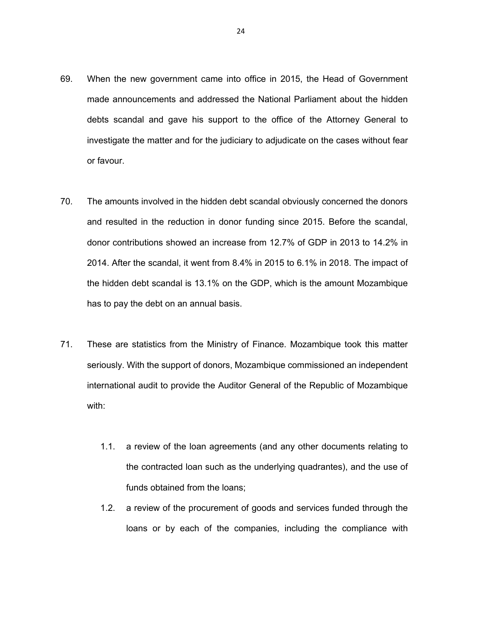- 69. When the new government came into office in 2015, the Head of Government made announcements and addressed the National Parliament about the hidden debts scandal and gave his support to the office of the Attorney General to investigate the matter and for the judiciary to adjudicate on the cases without fear or favour.
- 70. The amounts involved in the hidden debt scandal obviously concerned the donors and resulted in the reduction in donor funding since 2015. Before the scandal, donor contributions showed an increase from 12.7% of GDP in 2013 to 14.2% in 2014. After the scandal, it went from 8.4% in 2015 to 6.1% in 2018. The impact of the hidden debt scandal is 13.1% on the GDP, which is the amount Mozambique has to pay the debt on an annual basis.
- 71. These are statistics from the Ministry of Finance. Mozambique took this matter seriously. With the support of donors, Mozambique commissioned an independent international audit to provide the Auditor General of the Republic of Mozambique with:
	- 1.1. a review of the loan agreements (and any other documents relating to the contracted loan such as the underlying quadrantes), and the use of funds obtained from the loans;
	- 1.2. a review of the procurement of goods and services funded through the loans or by each of the companies, including the compliance with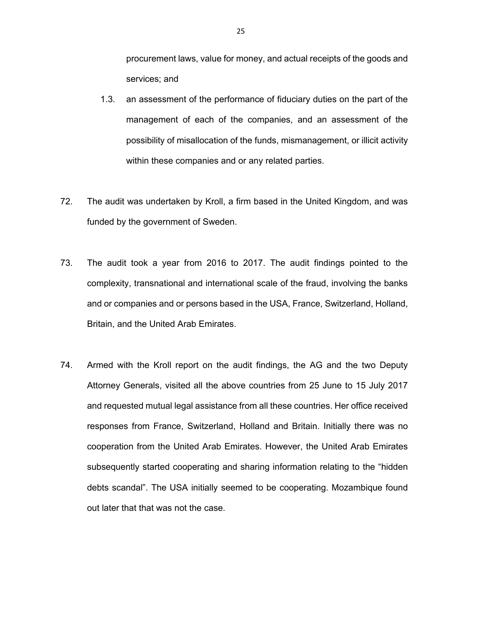procurement laws, value for money, and actual receipts of the goods and services; and

- 1.3. an assessment of the performance of fiduciary duties on the part of the management of each of the companies, and an assessment of the possibility of misallocation of the funds, mismanagement, or illicit activity within these companies and or any related parties.
- 72. The audit was undertaken by Kroll, a firm based in the United Kingdom, and was funded by the government of Sweden.
- 73. The audit took a year from 2016 to 2017. The audit findings pointed to the complexity, transnational and international scale of the fraud, involving the banks and or companies and or persons based in the USA, France, Switzerland, Holland, Britain, and the United Arab Emirates.
- 74. Armed with the Kroll report on the audit findings, the AG and the two Deputy Attorney Generals, visited all the above countries from 25 June to 15 July 2017 and requested mutual legal assistance from all these countries. Her office received responses from France, Switzerland, Holland and Britain. Initially there was no cooperation from the United Arab Emirates. However, the United Arab Emirates subsequently started cooperating and sharing information relating to the "hidden debts scandal". The USA initially seemed to be cooperating. Mozambique found out later that that was not the case.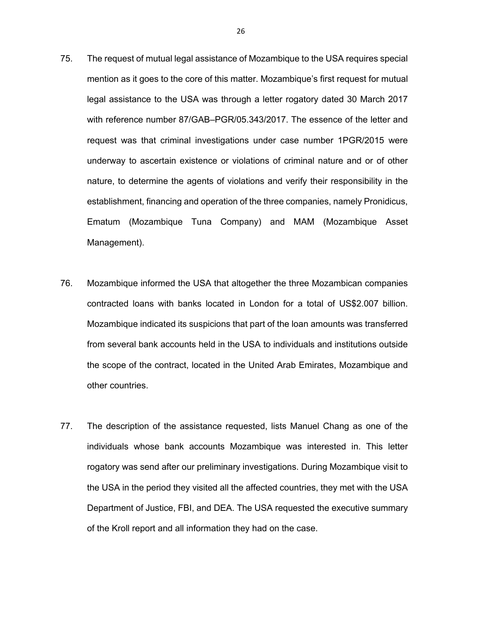- 75. The request of mutual legal assistance of Mozambique to the USA requires special mention as it goes to the core of this matter. Mozambique's first request for mutual legal assistance to the USA was through a letter rogatory dated 30 March 2017 with reference number 87/GAB–PGR/05.343/2017. The essence of the letter and request was that criminal investigations under case number 1PGR/2015 were underway to ascertain existence or violations of criminal nature and or of other nature, to determine the agents of violations and verify their responsibility in the establishment, financing and operation of the three companies, namely Pronidicus, Ematum (Mozambique Tuna Company) and MAM (Mozambique Asset Management).
- 76. Mozambique informed the USA that altogether the three Mozambican companies contracted loans with banks located in London for a total of US\$2.007 billion. Mozambique indicated its suspicions that part of the loan amounts was transferred from several bank accounts held in the USA to individuals and institutions outside the scope of the contract, located in the United Arab Emirates, Mozambique and other countries.
- 77. The description of the assistance requested, lists Manuel Chang as one of the individuals whose bank accounts Mozambique was interested in. This letter rogatory was send after our preliminary investigations. During Mozambique visit to the USA in the period they visited all the affected countries, they met with the USA Department of Justice, FBI, and DEA. The USA requested the executive summary of the Kroll report and all information they had on the case.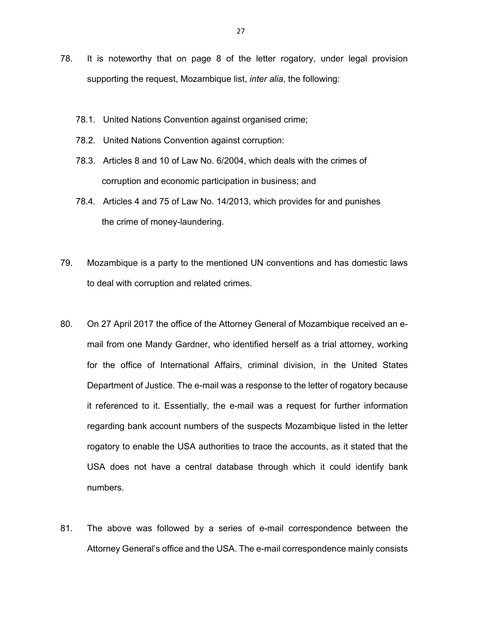- 78. It is noteworthy that on page 8 of the letter rogatory, under legal provision supporting the request, Mozambique list, *inter alia*, the following:
	- 78.1. United Nations Convention against organised crime;
	- 78.2. United Nations Convention against corruption:
	- 78.3. Articles 8 and 10 of Law No. 6/2004, which deals with the crimes of corruption and economic participation in business; and
	- 78.4. Articles 4 and 75 of Law No. 14/2013, which provides for and punishes the crime of money-laundering.
- 79. Mozambique is a party to the mentioned UN conventions and has domestic laws to deal with corruption and related crimes.
- 80. On 27 April 2017 the office of the Attorney General of Mozambique received an email from one Mandy Gardner, who identified herself as a trial attorney, working for the office of International Affairs, criminal division, in the United States Department of Justice. The e-mail was a response to the letter of rogatory because it referenced to it. Essentially, the e-mail was a request for further information regarding bank account numbers of the suspects Mozambique listed in the letter rogatory to enable the USA authorities to trace the accounts, as it stated that the USA does not have a central database through which it could identify bank numbers.
- 81. The above was followed by a series of e-mail correspondence between the Attorney General's office and the USA. The e-mail correspondence mainly consists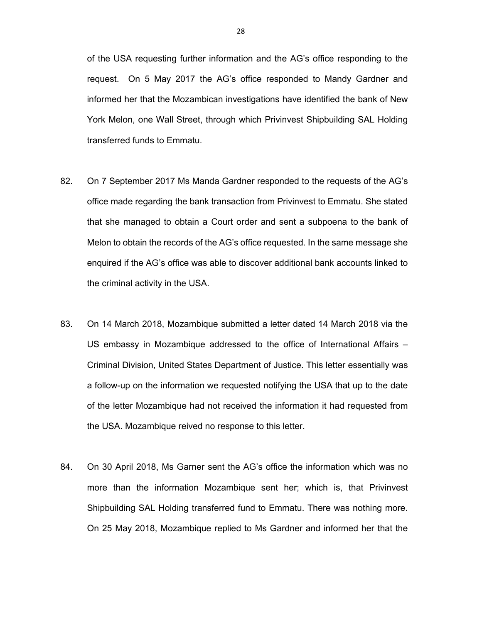of the USA requesting further information and the AG's office responding to the request. On 5 May 2017 the AG's office responded to Mandy Gardner and informed her that the Mozambican investigations have identified the bank of New York Melon, one Wall Street, through which Privinvest Shipbuilding SAL Holding transferred funds to Emmatu.

- 82. On 7 September 2017 Ms Manda Gardner responded to the requests of the AG's office made regarding the bank transaction from Privinvest to Emmatu. She stated that she managed to obtain a Court order and sent a subpoena to the bank of Melon to obtain the records of the AG's office requested. In the same message she enquired if the AG's office was able to discover additional bank accounts linked to the criminal activity in the USA.
- 83. On 14 March 2018, Mozambique submitted a letter dated 14 March 2018 via the US embassy in Mozambique addressed to the office of International Affairs – Criminal Division, United States Department of Justice. This letter essentially was a follow-up on the information we requested notifying the USA that up to the date of the letter Mozambique had not received the information it had requested from the USA. Mozambique reived no response to this letter.
- 84. On 30 April 2018, Ms Garner sent the AG's office the information which was no more than the information Mozambique sent her; which is, that Privinvest Shipbuilding SAL Holding transferred fund to Emmatu. There was nothing more. On 25 May 2018, Mozambique replied to Ms Gardner and informed her that the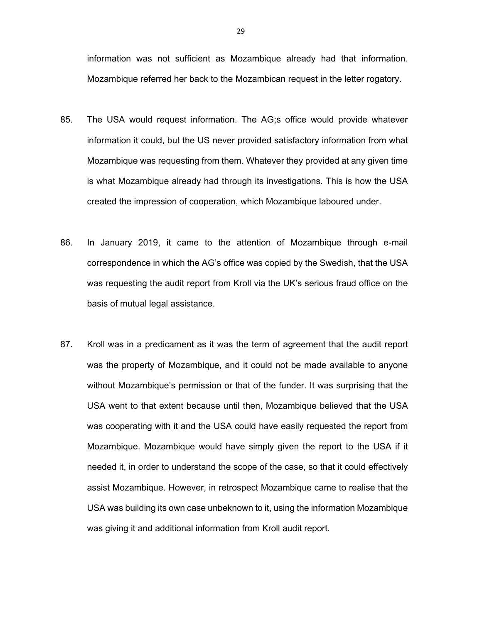information was not sufficient as Mozambique already had that information. Mozambique referred her back to the Mozambican request in the letter rogatory.

- 85. The USA would request information. The AG;s office would provide whatever information it could, but the US never provided satisfactory information from what Mozambique was requesting from them. Whatever they provided at any given time is what Mozambique already had through its investigations. This is how the USA created the impression of cooperation, which Mozambique laboured under.
- 86. In January 2019, it came to the attention of Mozambique through e-mail correspondence in which the AG's office was copied by the Swedish, that the USA was requesting the audit report from Kroll via the UK's serious fraud office on the basis of mutual legal assistance.
- 87. Kroll was in a predicament as it was the term of agreement that the audit report was the property of Mozambique, and it could not be made available to anyone without Mozambique's permission or that of the funder. It was surprising that the USA went to that extent because until then, Mozambique believed that the USA was cooperating with it and the USA could have easily requested the report from Mozambique. Mozambique would have simply given the report to the USA if it needed it, in order to understand the scope of the case, so that it could effectively assist Mozambique. However, in retrospect Mozambique came to realise that the USA was building its own case unbeknown to it, using the information Mozambique was giving it and additional information from Kroll audit report.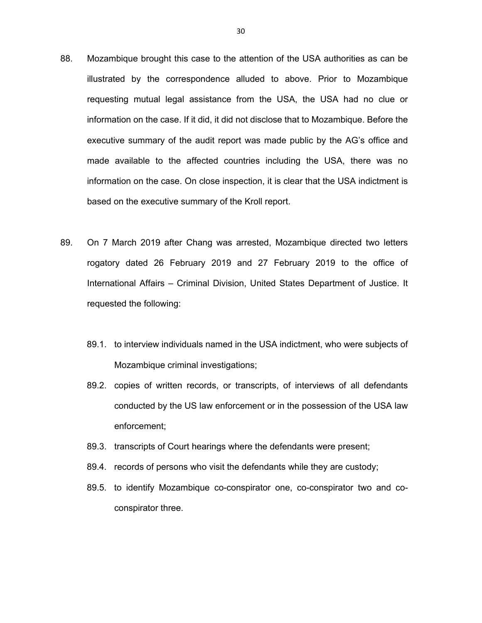- 88. Mozambique brought this case to the attention of the USA authorities as can be illustrated by the correspondence alluded to above. Prior to Mozambique requesting mutual legal assistance from the USA, the USA had no clue or information on the case. If it did, it did not disclose that to Mozambique. Before the executive summary of the audit report was made public by the AG's office and made available to the affected countries including the USA, there was no information on the case. On close inspection, it is clear that the USA indictment is based on the executive summary of the Kroll report.
- 89. On 7 March 2019 after Chang was arrested, Mozambique directed two letters rogatory dated 26 February 2019 and 27 February 2019 to the office of International Affairs – Criminal Division, United States Department of Justice. It requested the following:
	- 89.1. to interview individuals named in the USA indictment, who were subjects of Mozambique criminal investigations;
	- 89.2. copies of written records, or transcripts, of interviews of all defendants conducted by the US law enforcement or in the possession of the USA law enforcement;
	- 89.3. transcripts of Court hearings where the defendants were present;
	- 89.4. records of persons who visit the defendants while they are custody;
	- 89.5. to identify Mozambique co-conspirator one, co-conspirator two and coconspirator three.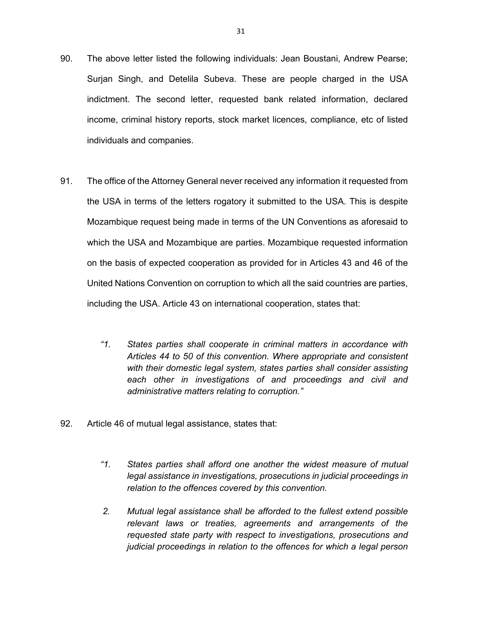- 90. The above letter listed the following individuals: Jean Boustani, Andrew Pearse; Surjan Singh, and Detelila Subeva. These are people charged in the USA indictment. The second letter, requested bank related information, declared income, criminal history reports, stock market licences, compliance, etc of listed individuals and companies.
- 91. The office of the Attorney General never received any information it requested from the USA in terms of the letters rogatory it submitted to the USA. This is despite Mozambique request being made in terms of the UN Conventions as aforesaid to which the USA and Mozambique are parties. Mozambique requested information on the basis of expected cooperation as provided for in Articles 43 and 46 of the United Nations Convention on corruption to which all the said countries are parties, including the USA. Article 43 on international cooperation, states that:
	- *"1. States parties shall cooperate in criminal matters in accordance with Articles 44 to 50 of this convention. Where appropriate and consistent with their domestic legal system, states parties shall consider assisting each other in investigations of and proceedings and civil and administrative matters relating to corruption."*
- 92. Article 46 of mutual legal assistance, states that:
	- *"1. States parties shall afford one another the widest measure of mutual legal assistance in investigations, prosecutions in judicial proceedings in relation to the offences covered by this convention.*
	- *2. Mutual legal assistance shall be afforded to the fullest extend possible relevant laws or treaties, agreements and arrangements of the requested state party with respect to investigations, prosecutions and judicial proceedings in relation to the offences for which a legal person*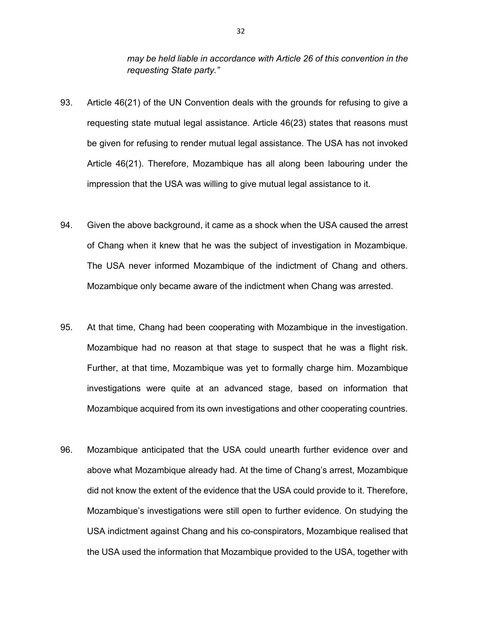*may be held liable in accordance with Article 26 of this convention in the requesting State party."* 

- 93. Article 46(21) of the UN Convention deals with the grounds for refusing to give a requesting state mutual legal assistance. Article 46(23) states that reasons must be given for refusing to render mutual legal assistance. The USA has not invoked Article 46(21). Therefore, Mozambique has all along been labouring under the impression that the USA was willing to give mutual legal assistance to it.
- 94. Given the above background, it came as a shock when the USA caused the arrest of Chang when it knew that he was the subject of investigation in Mozambique. The USA never informed Mozambique of the indictment of Chang and others. Mozambique only became aware of the indictment when Chang was arrested.
- 95. At that time, Chang had been cooperating with Mozambique in the investigation. Mozambique had no reason at that stage to suspect that he was a flight risk. Further, at that time, Mozambique was yet to formally charge him. Mozambique investigations were quite at an advanced stage, based on information that Mozambique acquired from its own investigations and other cooperating countries.
- 96. Mozambique anticipated that the USA could unearth further evidence over and above what Mozambique already had. At the time of Chang's arrest, Mozambique did not know the extent of the evidence that the USA could provide to it. Therefore, Mozambique's investigations were still open to further evidence. On studying the USA indictment against Chang and his co-conspirators, Mozambique realised that the USA used the information that Mozambique provided to the USA, together with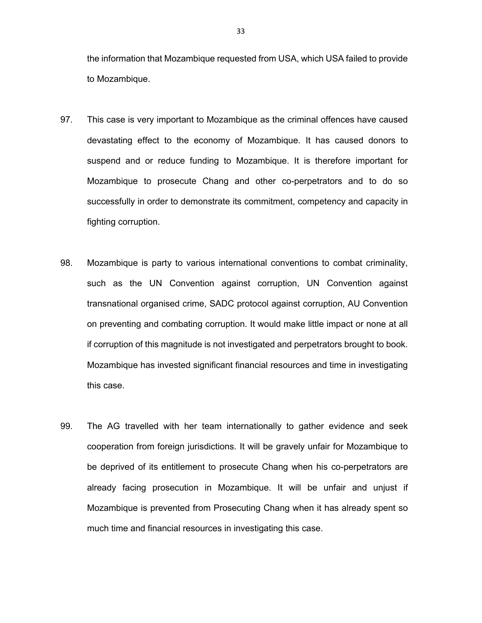the information that Mozambique requested from USA, which USA failed to provide to Mozambique.

- 97. This case is very important to Mozambique as the criminal offences have caused devastating effect to the economy of Mozambique. It has caused donors to suspend and or reduce funding to Mozambique. It is therefore important for Mozambique to prosecute Chang and other co-perpetrators and to do so successfully in order to demonstrate its commitment, competency and capacity in fighting corruption.
- 98. Mozambique is party to various international conventions to combat criminality, such as the UN Convention against corruption, UN Convention against transnational organised crime, SADC protocol against corruption, AU Convention on preventing and combating corruption. It would make little impact or none at all if corruption of this magnitude is not investigated and perpetrators brought to book. Mozambique has invested significant financial resources and time in investigating this case.
- 99. The AG travelled with her team internationally to gather evidence and seek cooperation from foreign jurisdictions. It will be gravely unfair for Mozambique to be deprived of its entitlement to prosecute Chang when his co-perpetrators are already facing prosecution in Mozambique. It will be unfair and unjust if Mozambique is prevented from Prosecuting Chang when it has already spent so much time and financial resources in investigating this case.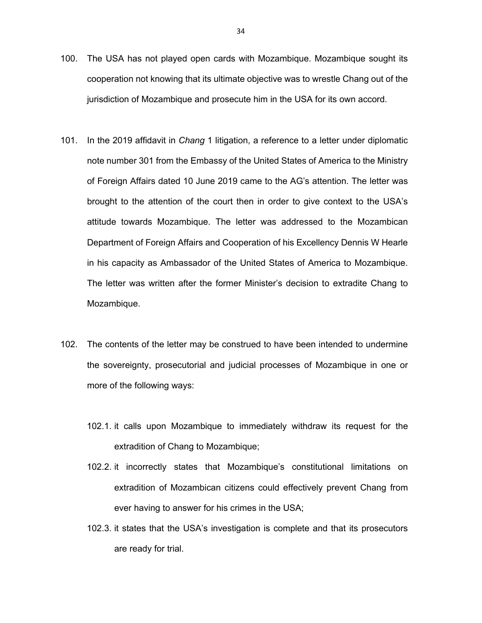- 100. The USA has not played open cards with Mozambique. Mozambique sought its cooperation not knowing that its ultimate objective was to wrestle Chang out of the jurisdiction of Mozambique and prosecute him in the USA for its own accord.
- 101. In the 2019 affidavit in *Chang* 1 litigation, a reference to a letter under diplomatic note number 301 from the Embassy of the United States of America to the Ministry of Foreign Affairs dated 10 June 2019 came to the AG's attention. The letter was brought to the attention of the court then in order to give context to the USA's attitude towards Mozambique. The letter was addressed to the Mozambican Department of Foreign Affairs and Cooperation of his Excellency Dennis W Hearle in his capacity as Ambassador of the United States of America to Mozambique. The letter was written after the former Minister's decision to extradite Chang to Mozambique.
- 102. The contents of the letter may be construed to have been intended to undermine the sovereignty, prosecutorial and judicial processes of Mozambique in one or more of the following ways:
	- 102.1. it calls upon Mozambique to immediately withdraw its request for the extradition of Chang to Mozambique;
	- 102.2. it incorrectly states that Mozambique's constitutional limitations on extradition of Mozambican citizens could effectively prevent Chang from ever having to answer for his crimes in the USA;
	- 102.3. it states that the USA's investigation is complete and that its prosecutors are ready for trial.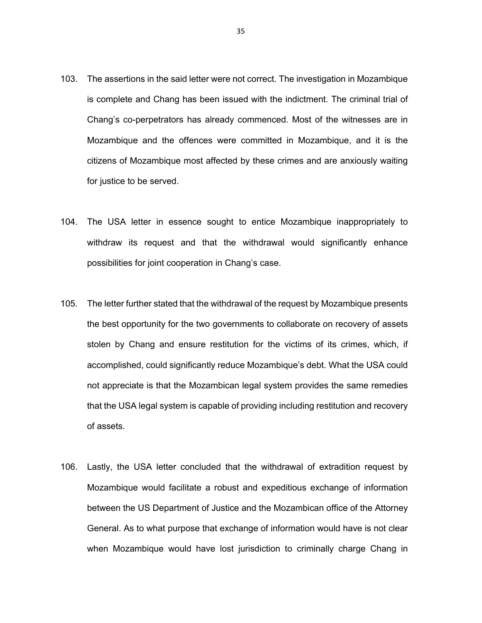- 103. The assertions in the said letter were not correct. The investigation in Mozambique is complete and Chang has been issued with the indictment. The criminal trial of Chang's co-perpetrators has already commenced. Most of the witnesses are in Mozambique and the offences were committed in Mozambique, and it is the citizens of Mozambique most affected by these crimes and are anxiously waiting for justice to be served.
- 104. The USA letter in essence sought to entice Mozambique inappropriately to withdraw its request and that the withdrawal would significantly enhance possibilities for joint cooperation in Chang's case.
- 105. The letter further stated that the withdrawal of the request by Mozambique presents the best opportunity for the two governments to collaborate on recovery of assets stolen by Chang and ensure restitution for the victims of its crimes, which, if accomplished, could significantly reduce Mozambique's debt. What the USA could not appreciate is that the Mozambican legal system provides the same remedies that the USA legal system is capable of providing including restitution and recovery of assets.
- 106. Lastly, the USA letter concluded that the withdrawal of extradition request by Mozambique would facilitate a robust and expeditious exchange of information between the US Department of Justice and the Mozambican office of the Attorney General. As to what purpose that exchange of information would have is not clear when Mozambique would have lost jurisdiction to criminally charge Chang in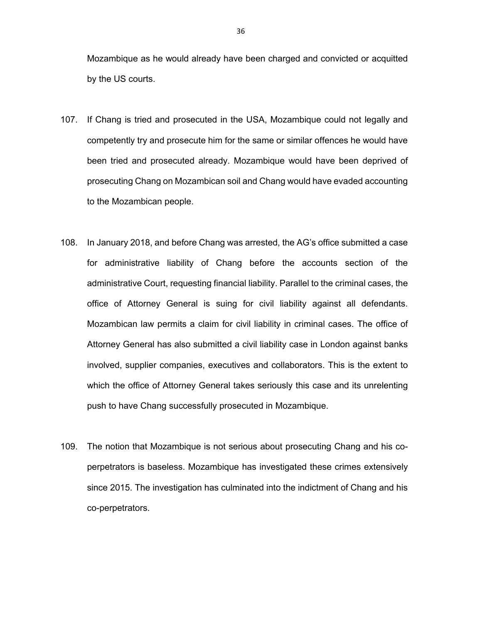Mozambique as he would already have been charged and convicted or acquitted by the US courts.

- 107. If Chang is tried and prosecuted in the USA, Mozambique could not legally and competently try and prosecute him for the same or similar offences he would have been tried and prosecuted already. Mozambique would have been deprived of prosecuting Chang on Mozambican soil and Chang would have evaded accounting to the Mozambican people.
- 108. In January 2018, and before Chang was arrested, the AG's office submitted a case for administrative liability of Chang before the accounts section of the administrative Court, requesting financial liability. Parallel to the criminal cases, the office of Attorney General is suing for civil liability against all defendants. Mozambican law permits a claim for civil liability in criminal cases. The office of Attorney General has also submitted a civil liability case in London against banks involved, supplier companies, executives and collaborators. This is the extent to which the office of Attorney General takes seriously this case and its unrelenting push to have Chang successfully prosecuted in Mozambique.
- 109. The notion that Mozambique is not serious about prosecuting Chang and his coperpetrators is baseless. Mozambique has investigated these crimes extensively since 2015. The investigation has culminated into the indictment of Chang and his co-perpetrators.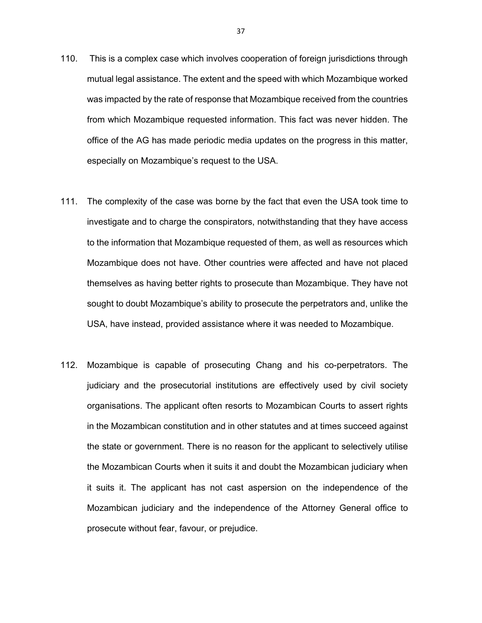- 110. This is a complex case which involves cooperation of foreign jurisdictions through mutual legal assistance. The extent and the speed with which Mozambique worked was impacted by the rate of response that Mozambique received from the countries from which Mozambique requested information. This fact was never hidden. The office of the AG has made periodic media updates on the progress in this matter, especially on Mozambique's request to the USA.
- 111. The complexity of the case was borne by the fact that even the USA took time to investigate and to charge the conspirators, notwithstanding that they have access to the information that Mozambique requested of them, as well as resources which Mozambique does not have. Other countries were affected and have not placed themselves as having better rights to prosecute than Mozambique. They have not sought to doubt Mozambique's ability to prosecute the perpetrators and, unlike the USA, have instead, provided assistance where it was needed to Mozambique.
- 112. Mozambique is capable of prosecuting Chang and his co-perpetrators. The judiciary and the prosecutorial institutions are effectively used by civil society organisations. The applicant often resorts to Mozambican Courts to assert rights in the Mozambican constitution and in other statutes and at times succeed against the state or government. There is no reason for the applicant to selectively utilise the Mozambican Courts when it suits it and doubt the Mozambican judiciary when it suits it. The applicant has not cast aspersion on the independence of the Mozambican judiciary and the independence of the Attorney General office to prosecute without fear, favour, or prejudice.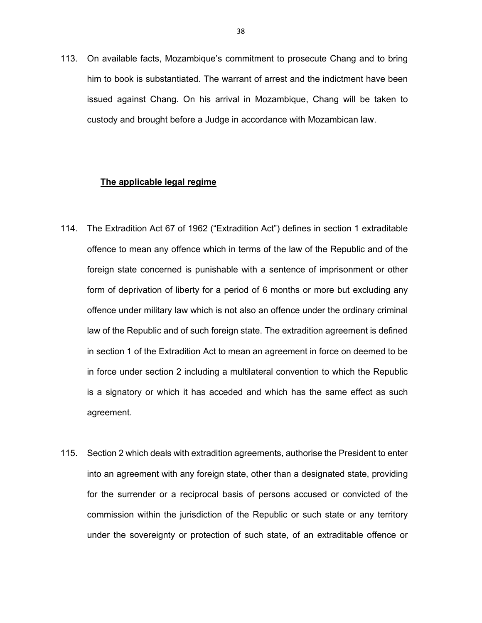113. On available facts, Mozambique's commitment to prosecute Chang and to bring him to book is substantiated. The warrant of arrest and the indictment have been issued against Chang. On his arrival in Mozambique, Chang will be taken to custody and brought before a Judge in accordance with Mozambican law.

### **The applicable legal regime**

- 114. The Extradition Act 67 of 1962 ("Extradition Act") defines in section 1 extraditable offence to mean any offence which in terms of the law of the Republic and of the foreign state concerned is punishable with a sentence of imprisonment or other form of deprivation of liberty for a period of 6 months or more but excluding any offence under military law which is not also an offence under the ordinary criminal law of the Republic and of such foreign state. The extradition agreement is defined in section 1 of the Extradition Act to mean an agreement in force on deemed to be in force under section 2 including a multilateral convention to which the Republic is a signatory or which it has acceded and which has the same effect as such agreement.
- 115. Section 2 which deals with extradition agreements, authorise the President to enter into an agreement with any foreign state, other than a designated state, providing for the surrender or a reciprocal basis of persons accused or convicted of the commission within the jurisdiction of the Republic or such state or any territory under the sovereignty or protection of such state, of an extraditable offence or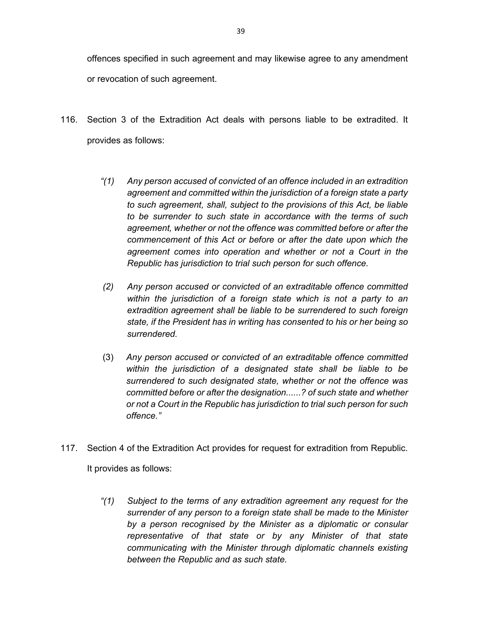offences specified in such agreement and may likewise agree to any amendment or revocation of such agreement.

- 116. Section 3 of the Extradition Act deals with persons liable to be extradited. It provides as follows:
	- *"(1) Any person accused of convicted of an offence included in an extradition agreement and committed within the jurisdiction of a foreign state a party to such agreement, shall, subject to the provisions of this Act, be liable to be surrender to such state in accordance with the terms of such agreement, whether or not the offence was committed before or after the commencement of this Act or before or after the date upon which the agreement comes into operation and whether or not a Court in the Republic has jurisdiction to trial such person for such offence.*
	- *(2) Any person accused or convicted of an extraditable offence committed within the jurisdiction of a foreign state which is not a party to an extradition agreement shall be liable to be surrendered to such foreign state, if the President has in writing has consented to his or her being so surrendered.*
	- (3) *Any person accused or convicted of an extraditable offence committed within the jurisdiction of a designated state shall be liable to be surrendered to such designated state, whether or not the offence was committed before or after the designation......? of such state and whether or not a Court in the Republic has jurisdiction to trial such person for such offence."*
- 117. Section 4 of the Extradition Act provides for request for extradition from Republic.

It provides as follows:

*"(1) Subject to the terms of any extradition agreement any request for the surrender of any person to a foreign state shall be made to the Minister by a person recognised by the Minister as a diplomatic or consular representative of that state or by any Minister of that state communicating with the Minister through diplomatic channels existing between the Republic and as such state.*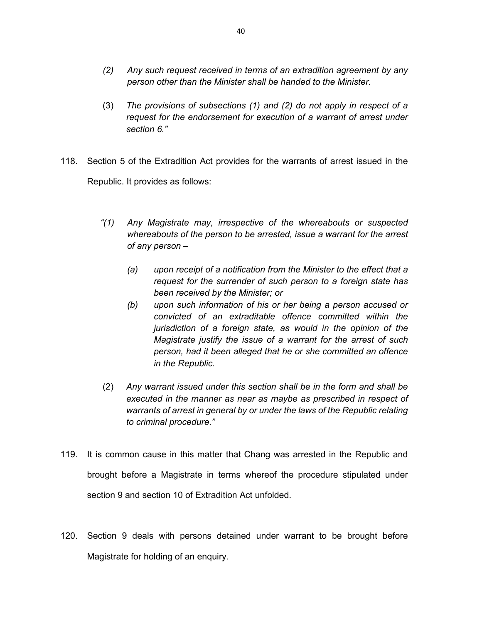- *(2) Any such request received in terms of an extradition agreement by any person other than the Minister shall be handed to the Minister.*
- (3) *The provisions of subsections (1) and (2) do not apply in respect of a request for the endorsement for execution of a warrant of arrest under section 6."*
- 118. Section 5 of the Extradition Act provides for the warrants of arrest issued in the Republic. It provides as follows:
	- *"(1) Any Magistrate may, irrespective of the whereabouts or suspected whereabouts of the person to be arrested, issue a warrant for the arrest of any person –* 
		- *(a) upon receipt of a notification from the Minister to the effect that a request for the surrender of such person to a foreign state has been received by the Minister; or*
		- *(b) upon such information of his or her being a person accused or convicted of an extraditable offence committed within the jurisdiction of a foreign state, as would in the opinion of the Magistrate justify the issue of a warrant for the arrest of such person, had it been alleged that he or she committed an offence in the Republic.*
	- (2) *Any warrant issued under this section shall be in the form and shall be executed in the manner as near as maybe as prescribed in respect of warrants of arrest in general by or under the laws of the Republic relating to criminal procedure."*
- 119. It is common cause in this matter that Chang was arrested in the Republic and brought before a Magistrate in terms whereof the procedure stipulated under section 9 and section 10 of Extradition Act unfolded.
- 120. Section 9 deals with persons detained under warrant to be brought before Magistrate for holding of an enquiry.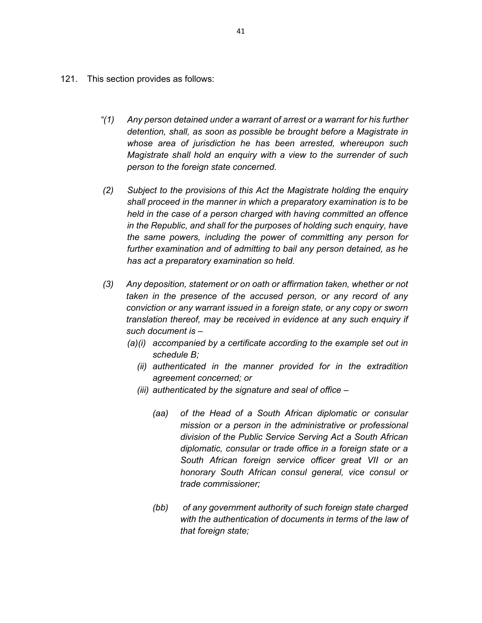- 121. This section provides as follows:
	- *"(1) Any person detained under a warrant of arrest or a warrant for his further detention, shall, as soon as possible be brought before a Magistrate in whose area of jurisdiction he has been arrested, whereupon such Magistrate shall hold an enquiry with a view to the surrender of such person to the foreign state concerned.*
	- *(2) Subject to the provisions of this Act the Magistrate holding the enquiry shall proceed in the manner in which a preparatory examination is to be held in the case of a person charged with having committed an offence in the Republic, and shall for the purposes of holding such enquiry, have the same powers, including the power of committing any person for further examination and of admitting to bail any person detained, as he has act a preparatory examination so held.*
	- *(3) Any deposition, statement or on oath or affirmation taken, whether or not taken in the presence of the accused person, or any record of any conviction or any warrant issued in a foreign state, or any copy or sworn translation thereof, may be received in evidence at any such enquiry if such document is –* 
		- *(a)(i) accompanied by a certificate according to the example set out in schedule B;* 
			- *(ii) authenticated in the manner provided for in the extradition agreement concerned; or*
			- *(iii) authenticated by the signature and seal of office* 
				- *(aa) of the Head of a South African diplomatic or consular mission or a person in the administrative or professional division of the Public Service Serving Act a South African diplomatic, consular or trade office in a foreign state or a South African foreign service officer great VII or an honorary South African consul general, vice consul or trade commissioner;*
				- *(bb) of any government authority of such foreign state charged with the authentication of documents in terms of the law of that foreign state;*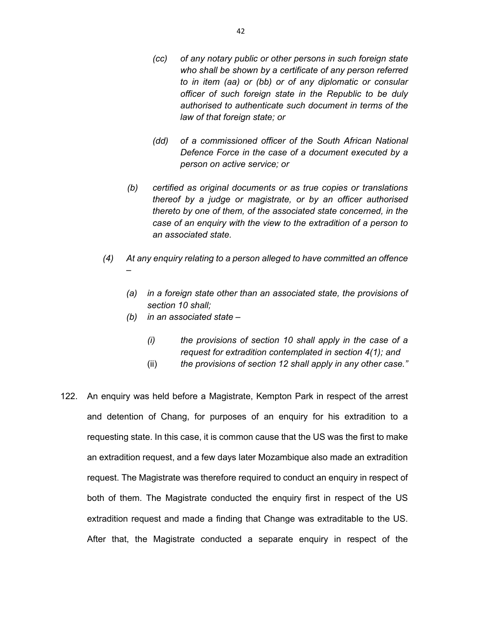- *(cc) of any notary public or other persons in such foreign state who shall be shown by a certificate of any person referred to in item (aa) or (bb) or of any diplomatic or consular officer of such foreign state in the Republic to be duly authorised to authenticate such document in terms of the law of that foreign state; or*
- *(dd) of a commissioned officer of the South African National Defence Force in the case of a document executed by a person on active service; or*
- *(b) certified as original documents or as true copies or translations thereof by a judge or magistrate, or by an officer authorised thereto by one of them, of the associated state concerned, in the case of an enquiry with the view to the extradition of a person to an associated state.*
- *(4) At any enquiry relating to a person alleged to have committed an offence –* 
	- *(a) in a foreign state other than an associated state, the provisions of section 10 shall;*
	- *(b) in an associated state* 
		- *(i) the provisions of section 10 shall apply in the case of a request for extradition contemplated in section 4(1); and*
		- (ii) *the provisions of section 12 shall apply in any other case."*
- 122. An enquiry was held before a Magistrate, Kempton Park in respect of the arrest and detention of Chang, for purposes of an enquiry for his extradition to a requesting state. In this case, it is common cause that the US was the first to make an extradition request, and a few days later Mozambique also made an extradition request. The Magistrate was therefore required to conduct an enquiry in respect of both of them. The Magistrate conducted the enquiry first in respect of the US extradition request and made a finding that Change was extraditable to the US. After that, the Magistrate conducted a separate enquiry in respect of the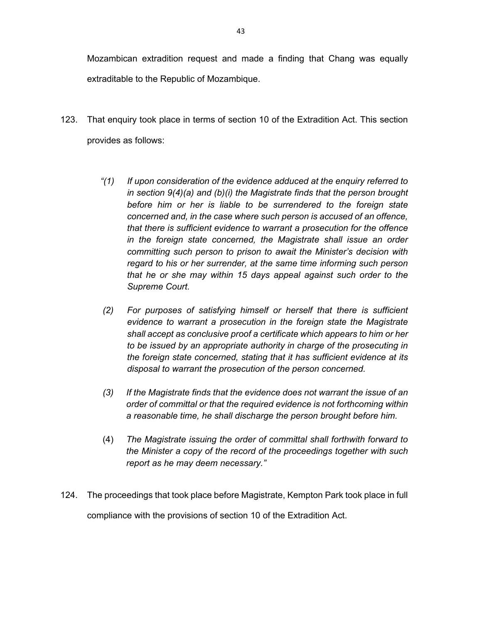Mozambican extradition request and made a finding that Chang was equally extraditable to the Republic of Mozambique.

- 123. That enquiry took place in terms of section 10 of the Extradition Act. This section provides as follows:
	- *"(1) If upon consideration of the evidence adduced at the enquiry referred to in section 9(4)(a) and (b)(i) the Magistrate finds that the person brought before him or her is liable to be surrendered to the foreign state concerned and, in the case where such person is accused of an offence, that there is sufficient evidence to warrant a prosecution for the offence in the foreign state concerned, the Magistrate shall issue an order committing such person to prison to await the Minister's decision with regard to his or her surrender, at the same time informing such person that he or she may within 15 days appeal against such order to the Supreme Court.*
	- *(2) For purposes of satisfying himself or herself that there is sufficient evidence to warrant a prosecution in the foreign state the Magistrate shall accept as conclusive proof a certificate which appears to him or her to be issued by an appropriate authority in charge of the prosecuting in the foreign state concerned, stating that it has sufficient evidence at its disposal to warrant the prosecution of the person concerned.*
	- *(3) If the Magistrate finds that the evidence does not warrant the issue of an order of committal or that the required evidence is not forthcoming within a reasonable time, he shall discharge the person brought before him.*
	- (4) *The Magistrate issuing the order of committal shall forthwith forward to the Minister a copy of the record of the proceedings together with such report as he may deem necessary."*
- 124. The proceedings that took place before Magistrate, Kempton Park took place in full compliance with the provisions of section 10 of the Extradition Act.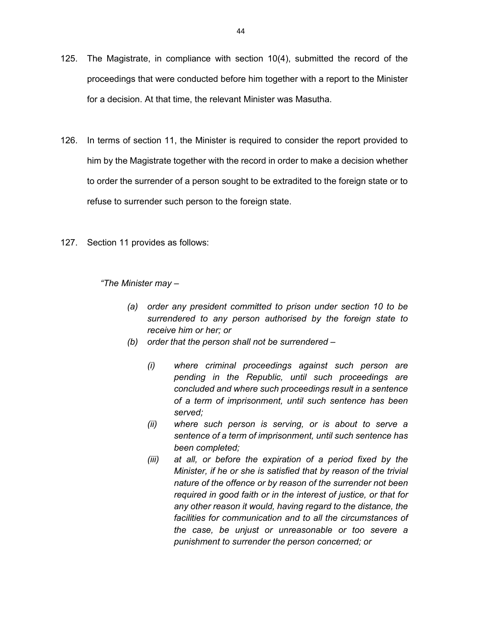- 125. The Magistrate, in compliance with section 10(4), submitted the record of the proceedings that were conducted before him together with a report to the Minister for a decision. At that time, the relevant Minister was Masutha.
- 126. In terms of section 11, the Minister is required to consider the report provided to him by the Magistrate together with the record in order to make a decision whether to order the surrender of a person sought to be extradited to the foreign state or to refuse to surrender such person to the foreign state.
- 127. Section 11 provides as follows:

*"The Minister may –* 

- *(a) order any president committed to prison under section 10 to be surrendered to any person authorised by the foreign state to receive him or her; or*
- *(b) order that the person shall not be surrendered* 
	- *(i) where criminal proceedings against such person are pending in the Republic, until such proceedings are concluded and where such proceedings result in a sentence of a term of imprisonment, until such sentence has been served;*
	- *(ii) where such person is serving, or is about to serve a sentence of a term of imprisonment, until such sentence has been completed;*
	- *(iii) at all, or before the expiration of a period fixed by the Minister, if he or she is satisfied that by reason of the trivial nature of the offence or by reason of the surrender not been required in good faith or in the interest of justice, or that for any other reason it would, having regard to the distance, the facilities for communication and to all the circumstances of the case, be unjust or unreasonable or too severe a punishment to surrender the person concerned; or*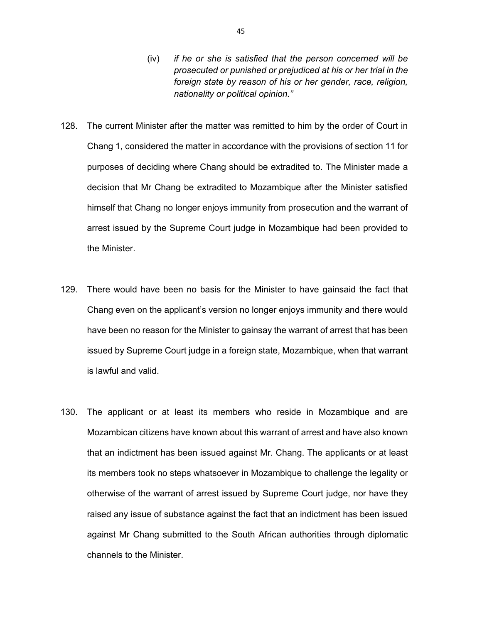- (iv) *if he or she is satisfied that the person concerned will be prosecuted or punished or prejudiced at his or her trial in the foreign state by reason of his or her gender, race, religion, nationality or political opinion."*
- 128. The current Minister after the matter was remitted to him by the order of Court in Chang 1, considered the matter in accordance with the provisions of section 11 for purposes of deciding where Chang should be extradited to. The Minister made a decision that Mr Chang be extradited to Mozambique after the Minister satisfied himself that Chang no longer enjoys immunity from prosecution and the warrant of arrest issued by the Supreme Court judge in Mozambique had been provided to the Minister.
- 129. There would have been no basis for the Minister to have gainsaid the fact that Chang even on the applicant's version no longer enjoys immunity and there would have been no reason for the Minister to gainsay the warrant of arrest that has been issued by Supreme Court judge in a foreign state, Mozambique, when that warrant is lawful and valid.
- 130. The applicant or at least its members who reside in Mozambique and are Mozambican citizens have known about this warrant of arrest and have also known that an indictment has been issued against Mr. Chang. The applicants or at least its members took no steps whatsoever in Mozambique to challenge the legality or otherwise of the warrant of arrest issued by Supreme Court judge, nor have they raised any issue of substance against the fact that an indictment has been issued against Mr Chang submitted to the South African authorities through diplomatic channels to the Minister.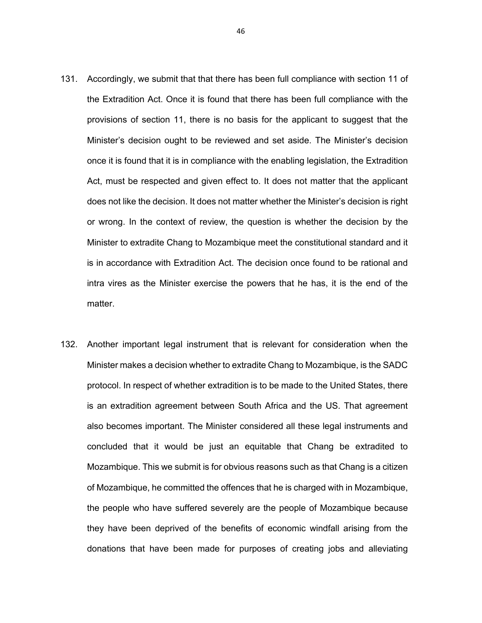- 131. Accordingly, we submit that that there has been full compliance with section 11 of the Extradition Act. Once it is found that there has been full compliance with the provisions of section 11, there is no basis for the applicant to suggest that the Minister's decision ought to be reviewed and set aside. The Minister's decision once it is found that it is in compliance with the enabling legislation, the Extradition Act, must be respected and given effect to. It does not matter that the applicant does not like the decision. It does not matter whether the Minister's decision is right or wrong. In the context of review, the question is whether the decision by the Minister to extradite Chang to Mozambique meet the constitutional standard and it is in accordance with Extradition Act. The decision once found to be rational and intra vires as the Minister exercise the powers that he has, it is the end of the matter.
- 132. Another important legal instrument that is relevant for consideration when the Minister makes a decision whether to extradite Chang to Mozambique, is the SADC protocol. In respect of whether extradition is to be made to the United States, there is an extradition agreement between South Africa and the US. That agreement also becomes important. The Minister considered all these legal instruments and concluded that it would be just an equitable that Chang be extradited to Mozambique. This we submit is for obvious reasons such as that Chang is a citizen of Mozambique, he committed the offences that he is charged with in Mozambique, the people who have suffered severely are the people of Mozambique because they have been deprived of the benefits of economic windfall arising from the donations that have been made for purposes of creating jobs and alleviating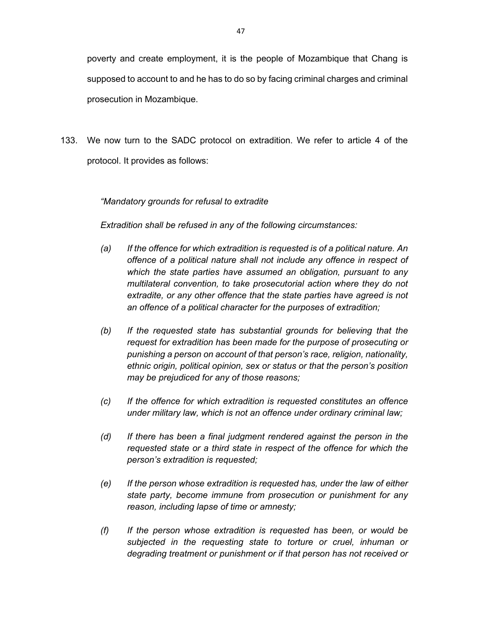poverty and create employment, it is the people of Mozambique that Chang is supposed to account to and he has to do so by facing criminal charges and criminal prosecution in Mozambique.

133. We now turn to the SADC protocol on extradition. We refer to article 4 of the protocol. It provides as follows:

# *"Mandatory grounds for refusal to extradite*

*Extradition shall be refused in any of the following circumstances:* 

- *(a) If the offence for which extradition is requested is of a political nature. An offence of a political nature shall not include any offence in respect of which the state parties have assumed an obligation, pursuant to any multilateral convention, to take prosecutorial action where they do not extradite, or any other offence that the state parties have agreed is not an offence of a political character for the purposes of extradition;*
- *(b) If the requested state has substantial grounds for believing that the request for extradition has been made for the purpose of prosecuting or punishing a person on account of that person's race, religion, nationality, ethnic origin, political opinion, sex or status or that the person's position may be prejudiced for any of those reasons;*
- *(c) If the offence for which extradition is requested constitutes an offence under military law, which is not an offence under ordinary criminal law;*
- *(d) If there has been a final judgment rendered against the person in the requested state or a third state in respect of the offence for which the person's extradition is requested;*
- *(e) If the person whose extradition is requested has, under the law of either state party, become immune from prosecution or punishment for any reason, including lapse of time or amnesty;*
- *(f) If the person whose extradition is requested has been, or would be subjected in the requesting state to torture or cruel, inhuman or degrading treatment or punishment or if that person has not received or*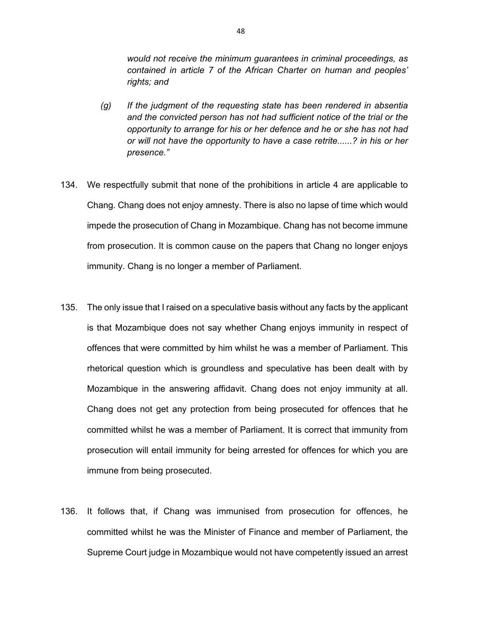*would not receive the minimum guarantees in criminal proceedings, as contained in article 7 of the African Charter on human and peoples' rights; and* 

- *(g) If the judgment of the requesting state has been rendered in absentia and the convicted person has not had sufficient notice of the trial or the opportunity to arrange for his or her defence and he or she has not had or will not have the opportunity to have a case retrite......? in his or her presence."*
- 134. We respectfully submit that none of the prohibitions in article 4 are applicable to Chang. Chang does not enjoy amnesty. There is also no lapse of time which would impede the prosecution of Chang in Mozambique. Chang has not become immune from prosecution. It is common cause on the papers that Chang no longer enjoys immunity. Chang is no longer a member of Parliament.
- 135. The only issue that I raised on a speculative basis without any facts by the applicant is that Mozambique does not say whether Chang enjoys immunity in respect of offences that were committed by him whilst he was a member of Parliament. This rhetorical question which is groundless and speculative has been dealt with by Mozambique in the answering affidavit. Chang does not enjoy immunity at all. Chang does not get any protection from being prosecuted for offences that he committed whilst he was a member of Parliament. It is correct that immunity from prosecution will entail immunity for being arrested for offences for which you are immune from being prosecuted.
- 136. It follows that, if Chang was immunised from prosecution for offences, he committed whilst he was the Minister of Finance and member of Parliament, the Supreme Court judge in Mozambique would not have competently issued an arrest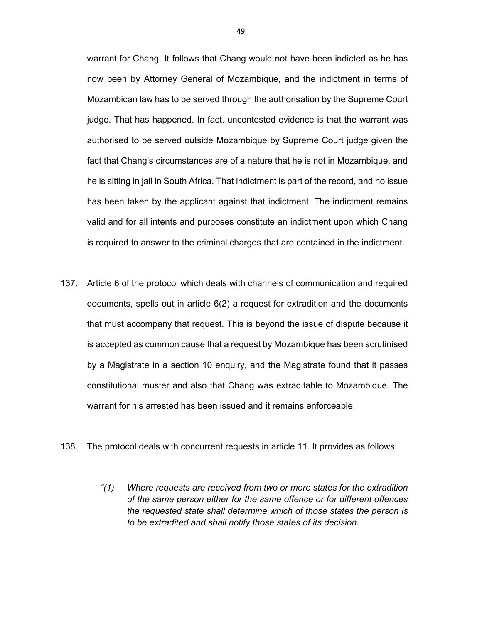warrant for Chang. It follows that Chang would not have been indicted as he has now been by Attorney General of Mozambique, and the indictment in terms of Mozambican law has to be served through the authorisation by the Supreme Court judge. That has happened. In fact, uncontested evidence is that the warrant was authorised to be served outside Mozambique by Supreme Court judge given the fact that Chang's circumstances are of a nature that he is not in Mozambique, and he is sitting in jail in South Africa. That indictment is part of the record, and no issue has been taken by the applicant against that indictment. The indictment remains valid and for all intents and purposes constitute an indictment upon which Chang is required to answer to the criminal charges that are contained in the indictment.

- 137. Article 6 of the protocol which deals with channels of communication and required documents, spells out in article 6(2) a request for extradition and the documents that must accompany that request. This is beyond the issue of dispute because it is accepted as common cause that a request by Mozambique has been scrutinised by a Magistrate in a section 10 enquiry, and the Magistrate found that it passes constitutional muster and also that Chang was extraditable to Mozambique. The warrant for his arrested has been issued and it remains enforceable.
- 138. The protocol deals with concurrent requests in article 11. It provides as follows:
	- *"(1) Where requests are received from two or more states for the extradition of the same person either for the same offence or for different offences the requested state shall determine which of those states the person is to be extradited and shall notify those states of its decision.*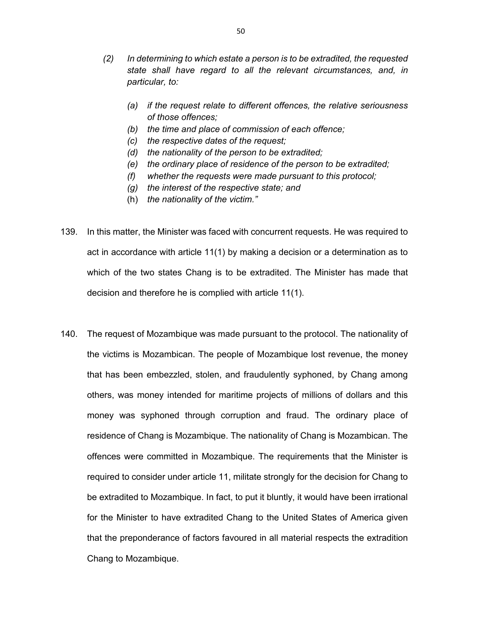- *(2) In determining to which estate a person is to be extradited, the requested state shall have regard to all the relevant circumstances, and, in particular, to:* 
	- *(a) if the request relate to different offences, the relative seriousness of those offences;*
	- *(b) the time and place of commission of each offence;*
	- *(c) the respective dates of the request;*
	- *(d) the nationality of the person to be extradited;*
	- *(e) the ordinary place of residence of the person to be extradited;*
	- *(f) whether the requests were made pursuant to this protocol;*
	- *(g) the interest of the respective state; and*
	- (h) *the nationality of the victim."*

139. In this matter, the Minister was faced with concurrent requests. He was required to act in accordance with article 11(1) by making a decision or a determination as to which of the two states Chang is to be extradited. The Minister has made that decision and therefore he is complied with article 11(1).

140. The request of Mozambique was made pursuant to the protocol. The nationality of the victims is Mozambican. The people of Mozambique lost revenue, the money that has been embezzled, stolen, and fraudulently syphoned, by Chang among others, was money intended for maritime projects of millions of dollars and this money was syphoned through corruption and fraud. The ordinary place of residence of Chang is Mozambique. The nationality of Chang is Mozambican. The offences were committed in Mozambique. The requirements that the Minister is required to consider under article 11, militate strongly for the decision for Chang to be extradited to Mozambique. In fact, to put it bluntly, it would have been irrational for the Minister to have extradited Chang to the United States of America given that the preponderance of factors favoured in all material respects the extradition Chang to Mozambique.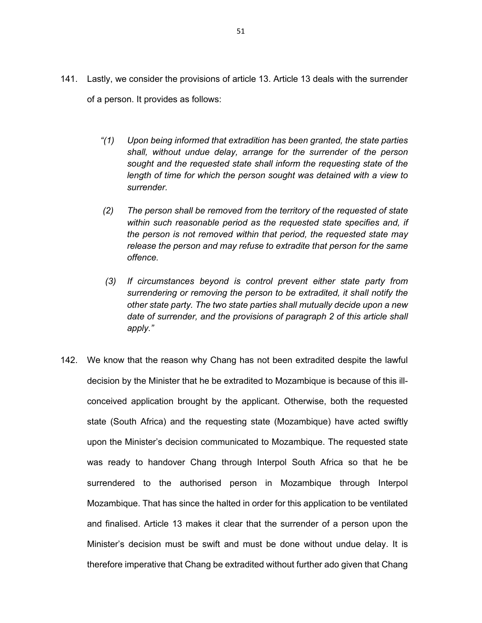- 141. Lastly, we consider the provisions of article 13. Article 13 deals with the surrender of a person. It provides as follows:
	- *"(1) Upon being informed that extradition has been granted, the state parties shall, without undue delay, arrange for the surrender of the person sought and the requested state shall inform the requesting state of the length of time for which the person sought was detained with a view to surrender.*
	- *(2) The person shall be removed from the territory of the requested of state within such reasonable period as the requested state specifies and, if the person is not removed within that period, the requested state may release the person and may refuse to extradite that person for the same offence.*
	- *(3) If circumstances beyond is control prevent either state party from surrendering or removing the person to be extradited, it shall notify the other state party. The two state parties shall mutually decide upon a new date of surrender, and the provisions of paragraph 2 of this article shall apply."*
- 142. We know that the reason why Chang has not been extradited despite the lawful decision by the Minister that he be extradited to Mozambique is because of this illconceived application brought by the applicant. Otherwise, both the requested state (South Africa) and the requesting state (Mozambique) have acted swiftly upon the Minister's decision communicated to Mozambique. The requested state was ready to handover Chang through Interpol South Africa so that he be surrendered to the authorised person in Mozambique through Interpol Mozambique. That has since the halted in order for this application to be ventilated and finalised. Article 13 makes it clear that the surrender of a person upon the Minister's decision must be swift and must be done without undue delay. It is therefore imperative that Chang be extradited without further ado given that Chang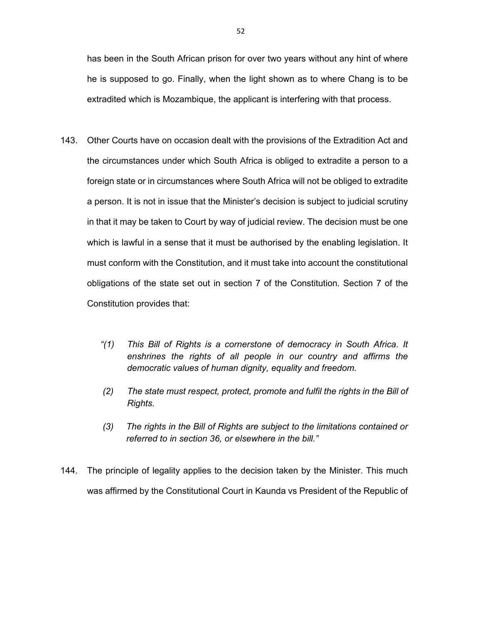has been in the South African prison for over two years without any hint of where he is supposed to go. Finally, when the light shown as to where Chang is to be extradited which is Mozambique, the applicant is interfering with that process.

- 143. Other Courts have on occasion dealt with the provisions of the Extradition Act and the circumstances under which South Africa is obliged to extradite a person to a foreign state or in circumstances where South Africa will not be obliged to extradite a person. It is not in issue that the Minister's decision is subject to judicial scrutiny in that it may be taken to Court by way of judicial review. The decision must be one which is lawful in a sense that it must be authorised by the enabling legislation. It must conform with the Constitution, and it must take into account the constitutional obligations of the state set out in section 7 of the Constitution. Section 7 of the Constitution provides that:
	- *"(1) This Bill of Rights is a cornerstone of democracy in South Africa. It enshrines the rights of all people in our country and affirms the democratic values of human dignity, equality and freedom.*
	- *(2) The state must respect, protect, promote and fulfil the rights in the Bill of Rights.*
	- *(3) The rights in the Bill of Rights are subject to the limitations contained or referred to in section 36, or elsewhere in the bill."*
- 144. The principle of legality applies to the decision taken by the Minister. This much was affirmed by the Constitutional Court in Kaunda vs President of the Republic of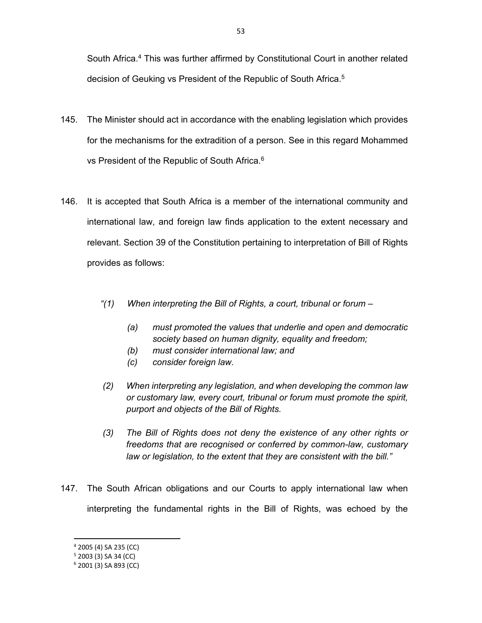South Africa.4 This was further affirmed by Constitutional Court in another related decision of Geuking vs President of the Republic of South Africa.5

- 145. The Minister should act in accordance with the enabling legislation which provides for the mechanisms for the extradition of a person. See in this regard Mohammed vs President of the Republic of South Africa.<sup>6</sup>
- 146. It is accepted that South Africa is a member of the international community and international law, and foreign law finds application to the extent necessary and relevant. Section 39 of the Constitution pertaining to interpretation of Bill of Rights provides as follows:
	- *"(1) When interpreting the Bill of Rights, a court, tribunal or forum* 
		- *(a) must promoted the values that underlie and open and democratic society based on human dignity, equality and freedom;*
		- *(b) must consider international law; and*
		- *(c) consider foreign law.*
	- *(2) When interpreting any legislation, and when developing the common law or customary law, every court, tribunal or forum must promote the spirit, purport and objects of the Bill of Rights.*
	- *(3) The Bill of Rights does not deny the existence of any other rights or freedoms that are recognised or conferred by common-law, customary law or legislation, to the extent that they are consistent with the bill."*
- 147. The South African obligations and our Courts to apply international law when interpreting the fundamental rights in the Bill of Rights, was echoed by the

<sup>4</sup> 2005 (4) SA 235 (CC)

 $5$  2003 (3) SA 34 (CC)

<sup>6</sup> 2001 (3) SA 893 (CC)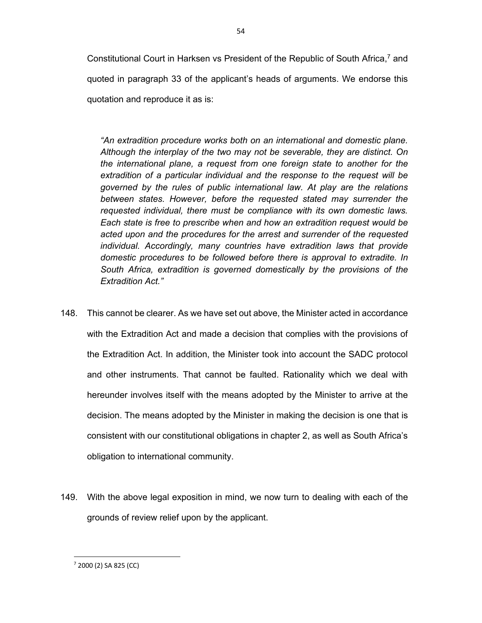Constitutional Court in Harksen vs President of the Republic of South Africa,<sup>7</sup> and quoted in paragraph 33 of the applicant's heads of arguments. We endorse this quotation and reproduce it as is:

*"An extradition procedure works both on an international and domestic plane. Although the interplay of the two may not be severable, they are distinct. On the international plane, a request from one foreign state to another for the extradition of a particular individual and the response to the request will be governed by the rules of public international law. At play are the relations between states. However, before the requested stated may surrender the requested individual, there must be compliance with its own domestic laws. Each state is free to prescribe when and how an extradition request would be acted upon and the procedures for the arrest and surrender of the requested individual. Accordingly, many countries have extradition laws that provide domestic procedures to be followed before there is approval to extradite. In South Africa, extradition is governed domestically by the provisions of the Extradition Act."* 

- 148. This cannot be clearer. As we have set out above, the Minister acted in accordance with the Extradition Act and made a decision that complies with the provisions of the Extradition Act. In addition, the Minister took into account the SADC protocol and other instruments. That cannot be faulted. Rationality which we deal with hereunder involves itself with the means adopted by the Minister to arrive at the decision. The means adopted by the Minister in making the decision is one that is consistent with our constitutional obligations in chapter 2, as well as South Africa's obligation to international community.
- 149. With the above legal exposition in mind, we now turn to dealing with each of the grounds of review relief upon by the applicant.

<sup>7</sup> 2000 (2) SA 825 (CC)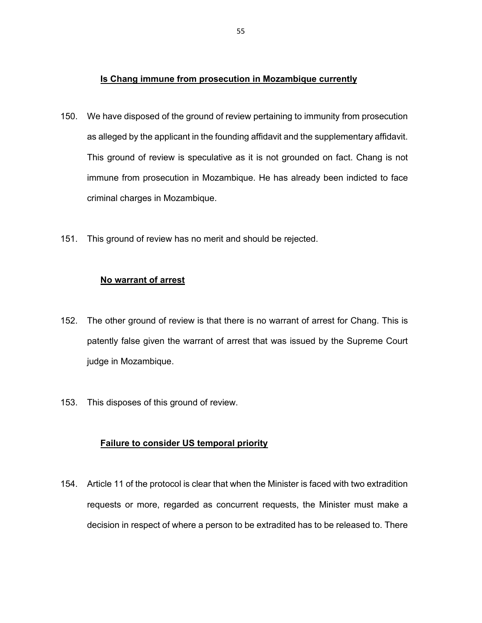### **Is Chang immune from prosecution in Mozambique currently**

- 150. We have disposed of the ground of review pertaining to immunity from prosecution as alleged by the applicant in the founding affidavit and the supplementary affidavit. This ground of review is speculative as it is not grounded on fact. Chang is not immune from prosecution in Mozambique. He has already been indicted to face criminal charges in Mozambique.
- 151. This ground of review has no merit and should be rejected.

#### **No warrant of arrest**

- 152. The other ground of review is that there is no warrant of arrest for Chang. This is patently false given the warrant of arrest that was issued by the Supreme Court judge in Mozambique.
- 153. This disposes of this ground of review.

### **Failure to consider US temporal priority**

154. Article 11 of the protocol is clear that when the Minister is faced with two extradition requests or more, regarded as concurrent requests, the Minister must make a decision in respect of where a person to be extradited has to be released to. There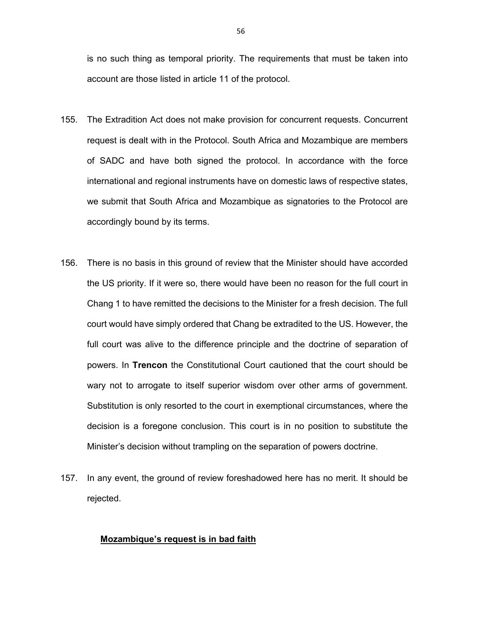is no such thing as temporal priority. The requirements that must be taken into account are those listed in article 11 of the protocol.

- 155. The Extradition Act does not make provision for concurrent requests. Concurrent request is dealt with in the Protocol. South Africa and Mozambique are members of SADC and have both signed the protocol. In accordance with the force international and regional instruments have on domestic laws of respective states, we submit that South Africa and Mozambique as signatories to the Protocol are accordingly bound by its terms.
- 156. There is no basis in this ground of review that the Minister should have accorded the US priority. If it were so, there would have been no reason for the full court in Chang 1 to have remitted the decisions to the Minister for a fresh decision. The full court would have simply ordered that Chang be extradited to the US. However, the full court was alive to the difference principle and the doctrine of separation of powers. In **Trencon** the Constitutional Court cautioned that the court should be wary not to arrogate to itself superior wisdom over other arms of government. Substitution is only resorted to the court in exemptional circumstances, where the decision is a foregone conclusion. This court is in no position to substitute the Minister's decision without trampling on the separation of powers doctrine.
- 157. In any event, the ground of review foreshadowed here has no merit. It should be rejected.

#### **Mozambique's request is in bad faith**

56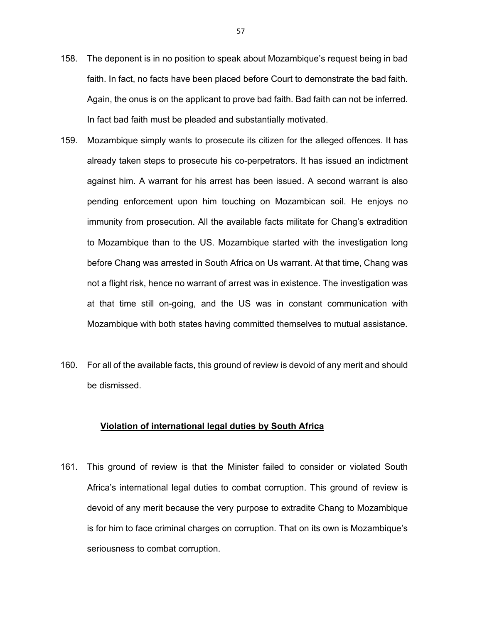- 158. The deponent is in no position to speak about Mozambique's request being in bad faith. In fact, no facts have been placed before Court to demonstrate the bad faith. Again, the onus is on the applicant to prove bad faith. Bad faith can not be inferred. In fact bad faith must be pleaded and substantially motivated.
- 159. Mozambique simply wants to prosecute its citizen for the alleged offences. It has already taken steps to prosecute his co-perpetrators. It has issued an indictment against him. A warrant for his arrest has been issued. A second warrant is also pending enforcement upon him touching on Mozambican soil. He enjoys no immunity from prosecution. All the available facts militate for Chang's extradition to Mozambique than to the US. Mozambique started with the investigation long before Chang was arrested in South Africa on Us warrant. At that time, Chang was not a flight risk, hence no warrant of arrest was in existence. The investigation was at that time still on-going, and the US was in constant communication with Mozambique with both states having committed themselves to mutual assistance.
- 160. For all of the available facts, this ground of review is devoid of any merit and should be dismissed.

# **Violation of international legal duties by South Africa**

161. This ground of review is that the Minister failed to consider or violated South Africa's international legal duties to combat corruption. This ground of review is devoid of any merit because the very purpose to extradite Chang to Mozambique is for him to face criminal charges on corruption. That on its own is Mozambique's seriousness to combat corruption.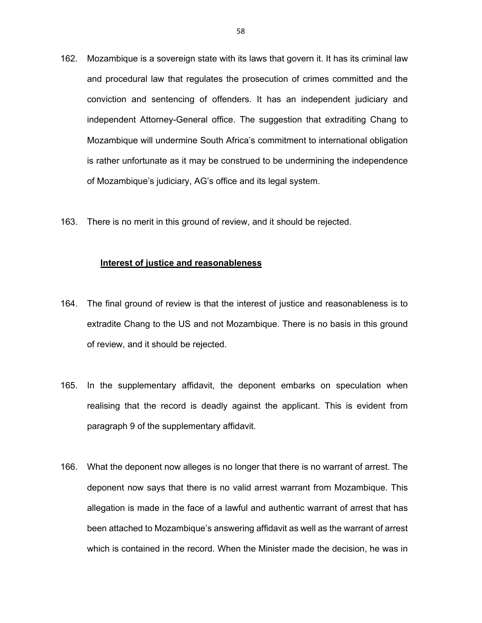- 162. Mozambique is a sovereign state with its laws that govern it. It has its criminal law and procedural law that regulates the prosecution of crimes committed and the conviction and sentencing of offenders. It has an independent judiciary and independent Attorney-General office. The suggestion that extraditing Chang to Mozambique will undermine South Africa's commitment to international obligation is rather unfortunate as it may be construed to be undermining the independence of Mozambique's judiciary, AG's office and its legal system.
- 163. There is no merit in this ground of review, and it should be rejected.

## **Interest of justice and reasonableness**

- 164. The final ground of review is that the interest of justice and reasonableness is to extradite Chang to the US and not Mozambique. There is no basis in this ground of review, and it should be rejected.
- 165. In the supplementary affidavit, the deponent embarks on speculation when realising that the record is deadly against the applicant. This is evident from paragraph 9 of the supplementary affidavit.
- 166. What the deponent now alleges is no longer that there is no warrant of arrest. The deponent now says that there is no valid arrest warrant from Mozambique. This allegation is made in the face of a lawful and authentic warrant of arrest that has been attached to Mozambique's answering affidavit as well as the warrant of arrest which is contained in the record. When the Minister made the decision, he was in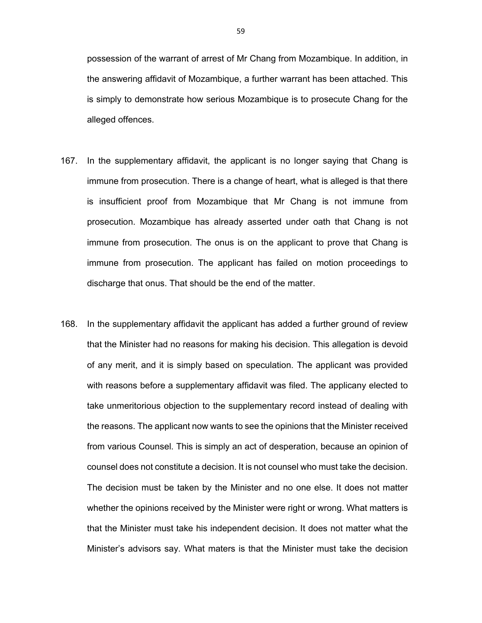possession of the warrant of arrest of Mr Chang from Mozambique. In addition, in the answering affidavit of Mozambique, a further warrant has been attached. This is simply to demonstrate how serious Mozambique is to prosecute Chang for the alleged offences.

- 167. In the supplementary affidavit, the applicant is no longer saying that Chang is immune from prosecution. There is a change of heart, what is alleged is that there is insufficient proof from Mozambique that Mr Chang is not immune from prosecution. Mozambique has already asserted under oath that Chang is not immune from prosecution. The onus is on the applicant to prove that Chang is immune from prosecution. The applicant has failed on motion proceedings to discharge that onus. That should be the end of the matter.
- 168. In the supplementary affidavit the applicant has added a further ground of review that the Minister had no reasons for making his decision. This allegation is devoid of any merit, and it is simply based on speculation. The applicant was provided with reasons before a supplementary affidavit was filed. The applicany elected to take unmeritorious objection to the supplementary record instead of dealing with the reasons. The applicant now wants to see the opinions that the Minister received from various Counsel. This is simply an act of desperation, because an opinion of counsel does not constitute a decision. It is not counsel who must take the decision. The decision must be taken by the Minister and no one else. It does not matter whether the opinions received by the Minister were right or wrong. What matters is that the Minister must take his independent decision. It does not matter what the Minister's advisors say. What maters is that the Minister must take the decision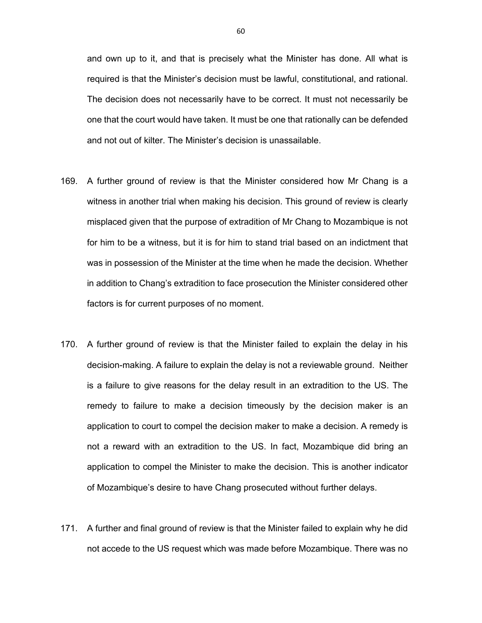and own up to it, and that is precisely what the Minister has done. All what is required is that the Minister's decision must be lawful, constitutional, and rational. The decision does not necessarily have to be correct. It must not necessarily be one that the court would have taken. It must be one that rationally can be defended and not out of kilter. The Minister's decision is unassailable.

- 169. A further ground of review is that the Minister considered how Mr Chang is a witness in another trial when making his decision. This ground of review is clearly misplaced given that the purpose of extradition of Mr Chang to Mozambique is not for him to be a witness, but it is for him to stand trial based on an indictment that was in possession of the Minister at the time when he made the decision. Whether in addition to Chang's extradition to face prosecution the Minister considered other factors is for current purposes of no moment.
- 170. A further ground of review is that the Minister failed to explain the delay in his decision-making. A failure to explain the delay is not a reviewable ground. Neither is a failure to give reasons for the delay result in an extradition to the US. The remedy to failure to make a decision timeously by the decision maker is an application to court to compel the decision maker to make a decision. A remedy is not a reward with an extradition to the US. In fact, Mozambique did bring an application to compel the Minister to make the decision. This is another indicator of Mozambique's desire to have Chang prosecuted without further delays.
- 171. A further and final ground of review is that the Minister failed to explain why he did not accede to the US request which was made before Mozambique. There was no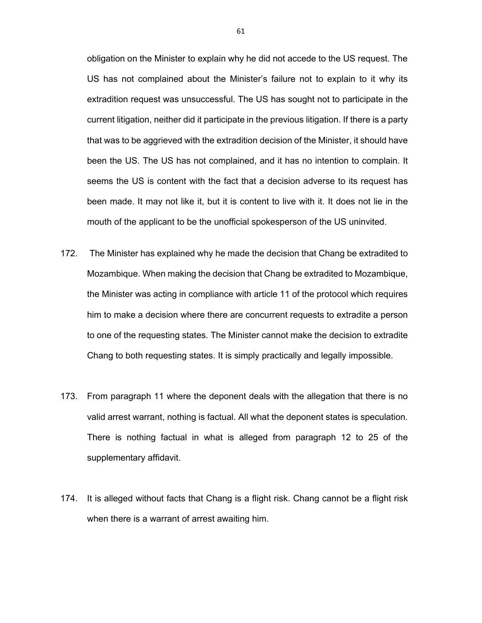obligation on the Minister to explain why he did not accede to the US request. The US has not complained about the Minister's failure not to explain to it why its extradition request was unsuccessful. The US has sought not to participate in the current litigation, neither did it participate in the previous litigation. If there is a party that was to be aggrieved with the extradition decision of the Minister, it should have been the US. The US has not complained, and it has no intention to complain. It seems the US is content with the fact that a decision adverse to its request has been made. It may not like it, but it is content to live with it. It does not lie in the mouth of the applicant to be the unofficial spokesperson of the US uninvited.

- 172. The Minister has explained why he made the decision that Chang be extradited to Mozambique. When making the decision that Chang be extradited to Mozambique, the Minister was acting in compliance with article 11 of the protocol which requires him to make a decision where there are concurrent requests to extradite a person to one of the requesting states. The Minister cannot make the decision to extradite Chang to both requesting states. It is simply practically and legally impossible.
- 173. From paragraph 11 where the deponent deals with the allegation that there is no valid arrest warrant, nothing is factual. All what the deponent states is speculation. There is nothing factual in what is alleged from paragraph 12 to 25 of the supplementary affidavit.
- 174. It is alleged without facts that Chang is a flight risk. Chang cannot be a flight risk when there is a warrant of arrest awaiting him.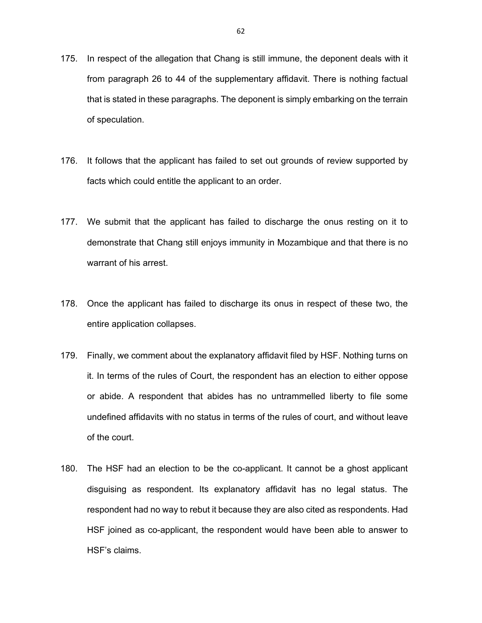- 175. In respect of the allegation that Chang is still immune, the deponent deals with it from paragraph 26 to 44 of the supplementary affidavit. There is nothing factual that is stated in these paragraphs. The deponent is simply embarking on the terrain of speculation.
- 176. It follows that the applicant has failed to set out grounds of review supported by facts which could entitle the applicant to an order.
- 177. We submit that the applicant has failed to discharge the onus resting on it to demonstrate that Chang still enjoys immunity in Mozambique and that there is no warrant of his arrest.
- 178. Once the applicant has failed to discharge its onus in respect of these two, the entire application collapses.
- 179. Finally, we comment about the explanatory affidavit filed by HSF. Nothing turns on it. In terms of the rules of Court, the respondent has an election to either oppose or abide. A respondent that abides has no untrammelled liberty to file some undefined affidavits with no status in terms of the rules of court, and without leave of the court.
- 180. The HSF had an election to be the co-applicant. It cannot be a ghost applicant disguising as respondent. Its explanatory affidavit has no legal status. The respondent had no way to rebut it because they are also cited as respondents. Had HSF joined as co-applicant, the respondent would have been able to answer to HSF's claims.